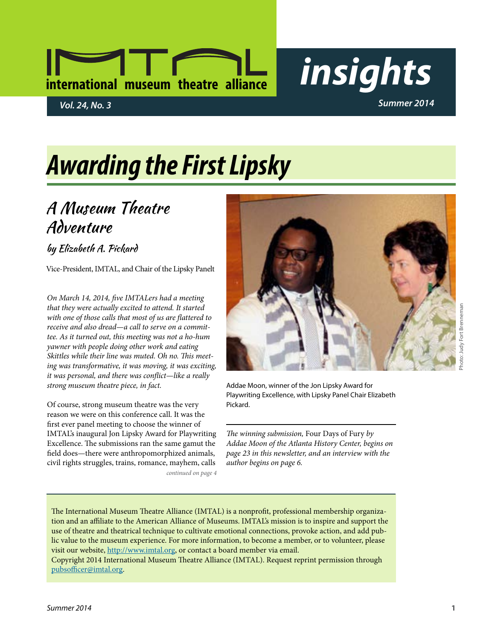# **international museum theatre alliance** *insights*

# *Awarding the First Lipsky*

## A Museum Theatre Adventure

by Elizabeth A. Pickard

Vice-President, IMTAL, and Chair of the Lipsky Panelt

*On March 14, 2014, five IMTALers had a meeting that they were actually excited to attend. It started with one of those calls that most of us are flattered to receive and also dread—a call to serve on a committee. As it turned out, this meeting was not a ho-hum yawner with people doing other work and eating Skittles while their line was muted. Oh no. This meeting was transformative, it was moving, it was exciting, it was personal, and there was conflict—like a really strong museum theatre piece, in fact.*

*continued on page 4* Of course, strong museum theatre was the very reason we were on this conference call. It was the first ever panel meeting to choose the winner of IMTAL's inaugural Jon Lipsky Award for Playwriting Excellence. The submissions ran the same gamut the field does—there were anthropomorphized animals, civil rights struggles, trains, romance, mayhem, calls



Addae Moon, winner of the Jon Lipsky Award for Playwriting Excellence, with Lipsky Panel Chair Elizabeth Pickard.

*The winning submission,* Four Days of Fury *by Addae Moon of the Atlanta History Center, begins on page 23 in this newsletter, and an interview with the author begins on page 6.*

The International Museum Theatre Alliance (IMTAL) is a nonprofit, professional membership organization and an affiliate to the American Alliance of Museums. IMTAL's mission is to inspire and support the use of theatre and theatrical technique to cultivate emotional connections, provoke action, and add public value to the museum experience. For more information, to become a member, or to volunteer, please visit our website, [http://www.imtal.org,](http://www.imtal.org) or contact a board member via email.

Copyright 2014 International Museum Theatre Alliance (IMTAL). Request reprint permission through [pubsofficer@imtal.org.](mailto:pubsofficer@imtal.org)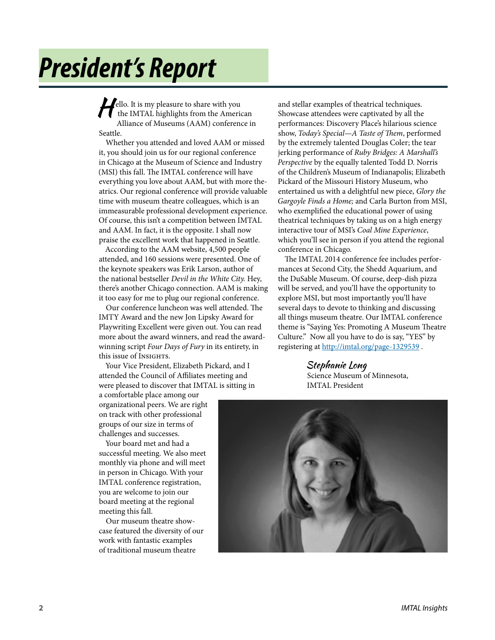# *President's Report*

Fello. It is my pleasure to share with you<br>the IMTAL highlights from the American Alliance of Museums (AAM) conference in Seattle.

Whether you attended and loved AAM or missed it, you should join us for our regional conference in Chicago at the Museum of Science and Industry (MSI) this fall. The IMTAL conference will have everything you love about AAM, but with more theatrics. Our regional conference will provide valuable time with museum theatre colleagues, which is an immeasurable professional development experience. Of course, this isn't a competition between IMTAL and AAM. In fact, it is the opposite. I shall now praise the excellent work that happened in Seattle.

According to the AAM website, 4,500 people attended, and 160 sessions were presented. One of the keynote speakers was Erik Larson, author of the national bestseller *Devil in the White City.* Hey, there's another Chicago connection. AAM is making it too easy for me to plug our regional conference.

Our conference luncheon was well attended. The IMTY Award and the new Jon Lipsky Award for Playwriting Excellent were given out. You can read more about the award winners, and read the awardwinning script *Four Days of Fury* in its entirety, in this issue of Insights.

Your Vice President, Elizabeth Pickard, and I attended the Council of Affiliates meeting and were pleased to discover that IMTAL is sitting in

and stellar examples of theatrical techniques. Showcase attendees were captivated by all the performances: Discovery Place's hilarious science show, *Today's Special—A Taste of Them*, performed by the extremely talented Douglas Coler; the tear jerking performance of *Ruby Bridges: A Marshall's Perspective* by the equally talented Todd D. Norris of the Children's Museum of Indianapolis; Elizabeth Pickard of the Missouri History Museum, who entertained us with a delightful new piece, *Glory the Gargoyle Finds a Home;* and Carla Burton from MSI, who exemplified the educational power of using theatrical techniques by taking us on a high energy interactive tour of MSI's *Coal Mine Experience*, which you'll see in person if you attend the regional conference in Chicago.

The IMTAL 2014 conference fee includes performances at Second City, the Shedd Aquarium, and the DuSable Museum. Of course, deep-dish pizza will be served, and you'll have the opportunity to explore MSI, but most importantly you'll have several days to devote to thinking and discussing all things museum theatre. Our IMTAL conference theme is "Saying Yes: Promoting A Museum Theatre Culture." Now all you have to do is say, "YES" by registering at [http://imtal.org/page-](http://imtal.org/page)1329539.

> Stephanie Long Science Museum of Minnesota, IMTAL President

a comfortable place among our organizational peers. We are right on track with other professional groups of our size in terms of challenges and successes.

Your board met and had a successful meeting. We also meet monthly via phone and will meet in person in Chicago. With your IMTAL conference registration, you are welcome to join our board meeting at the regional meeting this fall.

Our museum theatre showcase featured the diversity of our work with fantastic examples of traditional museum theatre

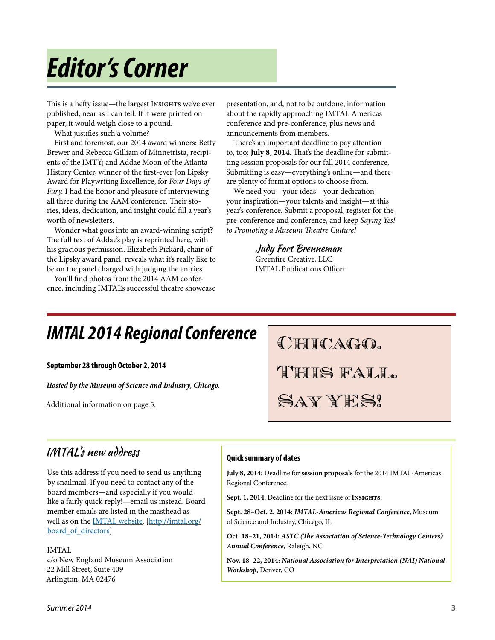# *Editor's Corner*

This is a hefty issue—the largest Insights we've ever published, near as I can tell. If it were printed on paper, it would weigh close to a pound.

What justifies such a volume?

First and foremost, our 2014 award winners: Betty Brewer and Rebecca Gilliam of Minnetrista, recipients of the IMTY; and Addae Moon of the Atlanta History Center, winner of the first-ever Jon Lipsky Award for Playwriting Excellence, for *Four Days of Fury.* I had the honor and pleasure of interviewing all three during the AAM conference. Their stories, ideas, dedication, and insight could fill a year's worth of newsletters.

Wonder what goes into an award-winning script? The full text of Addae's play is reprinted here, with his gracious permission. Elizabeth Pickard, chair of the Lipsky award panel, reveals what it's really like to be on the panel charged with judging the entries.

You'll find photos from the 2014 AAM conference, including IMTAL's successful theatre showcase presentation, and, not to be outdone, information about the rapidly approaching IMTAL Americas conference and pre-conference, plus news and announcements from members.

There's an important deadline to pay attention to, too: **July 8, 2014**. That's the deadline for submitting session proposals for our fall 2014 conference. Submitting is easy—everything's online—and there are plenty of format options to choose from.

We need you—your ideas—your dedication your inspiration—your talents and insight—at this year's conference. Submit a proposal, register for the pre-conference and conference, and keep *Saying Yes! to Promoting a Museum Theatre Culture!*

> Judy Fort Brenneman Greenfire Creative, LLC IMTAL Publications Officer

## *IMTAL 2014 Regional Conference*

**September 28 through October 2, 2014**

*Hosted by the Museum of Science and Industry, Chicago.*

Additional information on page 5.

CHICAGO.

This fall.

Say YES!

## IMTAL's new address

Use this address if you need to send us anything by snailmail. If you need to contact any of the board members—and especially if you would like a fairly quick reply!—email us instead. Board member emails are listed in the masthead as well as on the [IMTAL website](http://imtal.org/board_of_directors). [\[http://imtal.org/](http://imtal.org/board_of_directors) board of directors]

IMTAL c/o New England Museum Association 22 Mill Street, Suite 409 Arlington, MA 02476

### **Quick summary of dates**

**July 8, 2014:** Deadline for **session proposals** for the 2014 IMTAL-Americas Regional Conference.

**Sept. 1, 2014:** Deadline for the next issue of **Insights.** 

**Sept. 28–Oct. 2, 2014:** *IMTAL-Americas Regional Conference*, Museum of Science and Industry, Chicago, IL

**Oct. 18–21, 2014:** *ASTC (The Association of Science-Technology Centers) Annual Conference*, Raleigh, NC

**Nov. 18–22, 2014:** *National Association for Interpretation (NAI) National Workshop*, Denver, CO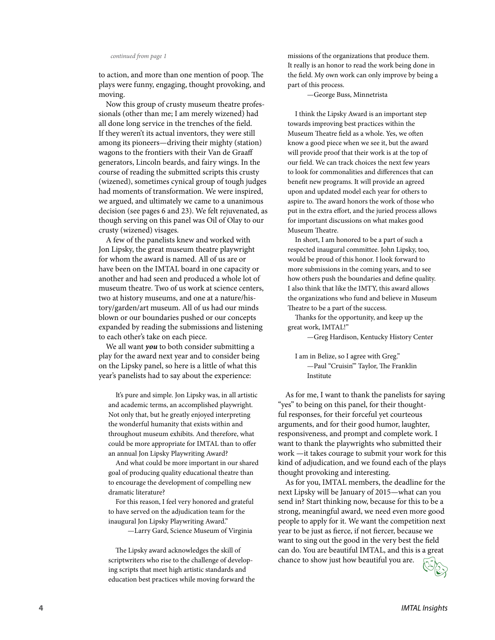#### *continued from page 1*

to action, and more than one mention of poop. The plays were funny, engaging, thought provoking, and moving.

Now this group of crusty museum theatre professionals (other than me; I am merely wizened) had all done long service in the trenches of the field. If they weren't its actual inventors, they were still among its pioneers—driving their mighty (station) wagons to the frontiers with their Van de Graaff generators, Lincoln beards, and fairy wings. In the course of reading the submitted scripts this crusty (wizened), sometimes cynical group of tough judges had moments of transformation. We were inspired, we argued, and ultimately we came to a unanimous decision (see pages 6 and 23). We felt rejuvenated, as though serving on this panel was Oil of Olay to our crusty (wizened) visages.

A few of the panelists knew and worked with Jon Lipsky, the great museum theatre playwright for whom the award is named. All of us are or have been on the IMTAL board in one capacity or another and had seen and produced a whole lot of museum theatre. Two of us work at science centers, two at history museums, and one at a nature/history/garden/art museum. All of us had our minds blown or our boundaries pushed or our concepts expanded by reading the submissions and listening to each other's take on each piece.

We all want *you* to both consider submitting a play for the award next year and to consider being on the Lipsky panel, so here is a little of what this year's panelists had to say about the experience:

It's pure and simple. Jon Lipsky was, in all artistic and academic terms, an accomplished playwright. Not only that, but he greatly enjoyed interpreting the wonderful humanity that exists within and throughout museum exhibits. And therefore, what could be more appropriate for IMTAL than to offer an annual Jon Lipsky Playwriting Award?

And what could be more important in our shared goal of producing quality educational theatre than to encourage the development of compelling new dramatic literature?

For this reason, I feel very honored and grateful to have served on the adjudication team for the inaugural Jon Lipsky Playwriting Award."

—Larry Gard, Science Museum of Virginia

The Lipsky award acknowledges the skill of scriptwriters who rise to the challenge of developing scripts that meet high artistic standards and education best practices while moving forward the missions of the organizations that produce them. It really is an honor to read the work being done in the field. My own work can only improve by being a part of this process.

—George Buss, Minnetrista

I think the Lipsky Award is an important step towards improving best practices within the Museum Theatre field as a whole. Yes, we often know a good piece when we see it, but the award will provide proof that their work is at the top of our field. We can track choices the next few years to look for commonalities and differences that can benefit new programs. It will provide an agreed upon and updated model each year for others to aspire to. The award honors the work of those who put in the extra effort, and the juried process allows for important discussions on what makes good Museum Theatre.

In short, I am honored to be a part of such a respected inaugural committee. John Lipsky, too, would be proud of this honor. I look forward to more submissions in the coming years, and to see how others push the boundaries and define quality. I also think that like the IMTY, this award allows the organizations who fund and believe in Museum Theatre to be a part of the success.

Thanks for the opportunity, and keep up the great work, IMTAL!"

—Greg Hardison, Kentucky History Center

I am in Belize, so I agree with Greg." —Paul "Cruisin'" Taylor, The Franklin Institute

As for me, I want to thank the panelists for saying "yes" to being on this panel, for their thoughtful responses, for their forceful yet courteous arguments, and for their good humor, laughter, responsiveness, and prompt and complete work. I want to thank the playwrights who submitted their work —it takes courage to submit your work for this kind of adjudication, and we found each of the plays thought provoking and interesting.

As for you, IMTAL members, the deadline for the next Lipsky will be January of 2015—what can you send in? Start thinking now, because for this to be a strong, meaningful award, we need even more good people to apply for it. We want the competition next year to be just as fierce, if not fiercer, because we want to sing out the good in the very best the field can do. You are beautiful IMTAL, and this is a great chance to show just how beautiful you are.

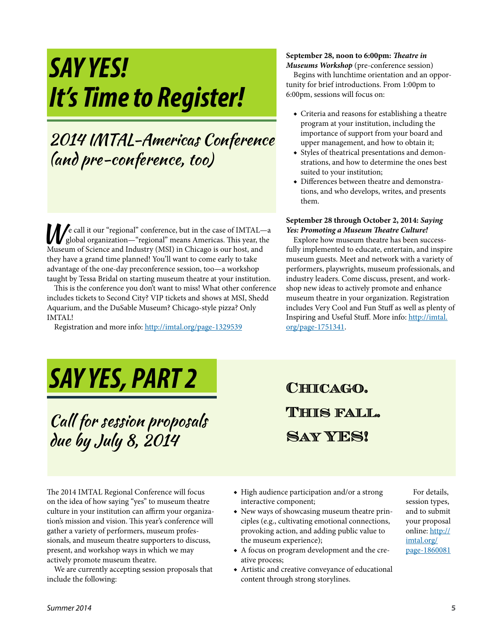# *SAY YES! It's Time to Register!*

## 2014 IMTAL-Americas Conference (and pre-conference, too)

We call it our "regional" conference, but in the case of IMTAL—a global organization—"regional" means Americas. This year, the Museum of Science and Industry (MSI) in Chicago is our host, and they have a grand time planned! You'll want to come early to take advantage of the one-day preconference session, too—a workshop taught by Tessa Bridal on starting museum theatre at your institution.

This is the conference you don't want to miss! What other conference includes tickets to Second City? VIP tickets and shows at MSI, Shedd Aquarium, and the DuSable Museum? Chicago-style pizza? Only IMTAL!

Registration and more info:<http://imtal.org/page>-1329539

#### **September 28, noon to 6:00pm:** *Theatre in Museums Workshop* (pre-conference session)

Begins with lunchtime orientation and an opportunity for brief introductions. From 1:00pm to 6:00pm, sessions will focus on:

- ◆ Criteria and reasons for establishing a theatre program at your institution, including the importance of support from your board and upper management, and how to obtain it;
- ◆ Styles of theatrical presentations and demonstrations, and how to determine the ones best suited to your institution;
- ◆ Differences between theatre and demonstrations, and who develops, writes, and presents them.

#### **September 28 through October 2, 2014:** *Saying Yes: Promoting a Museum Theatre Culture!*

Explore how museum theatre has been successfully implemented to educate, entertain, and inspire museum guests. Meet and network with a variety of performers, playwrights, museum professionals, and industry leaders. Come discuss, present, and workshop new ideas to actively promote and enhance museum theatre in your organization. Registration includes Very Cool and Fun Stuff as well as plenty of Inspiring and Useful Stuff. More info: [http://imtal.](http://imtal.org/page) [org/page](http://imtal.org/page)-1751341.

# *SAY YES, PART 2*

Call for session proposals due by July 8, 2014

**Chicago. This fall. Say YES!**

The 2014 IMTAL Regional Conference will focus on the idea of how saying "yes" to museum theatre culture in your institution can affirm your organization's mission and vision. This year's conference will gather a variety of performers, museum professionals, and museum theatre supporters to discuss, present, and workshop ways in which we may actively promote museum theatre.

We are currently accepting session proposals that include the following:

- ◆ High audience participation and/or a strong interactive component;
- ◆ New ways of showcasing museum theatre principles (e.g., cultivating emotional connections, provoking action, and adding public value to the museum experience);
- ◆ A focus on program development and the creative process;
- ◆ Artistic and creative conveyance of educational content through strong storylines.

For details, session types, and to submit your proposal online: [http://](http://imtal.org/page) [imtal.org/](http://imtal.org/page) [page](http://imtal.org/page)-1860081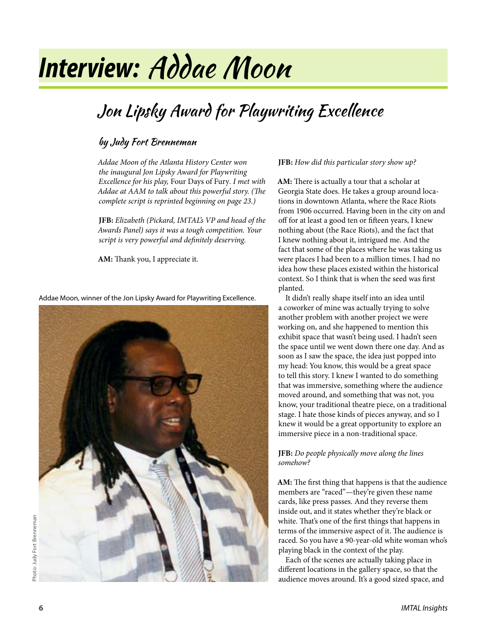# *Interview:* Addae Moon

# Jon Lipsky Award for Playwriting Excellence

### by Judy Fort Brenneman

*Addae Moon of the Atlanta History Center won the inaugural Jon Lipsky Award for Playwriting Excellence for his play,* Four Days of Fury*. I met with Addae at AAM to talk about this powerful story. (The complete script is reprinted beginning on page 23.)*

**JFB:** *Elizabeth (Pickard, IMTAL's VP and head of the Awards Panel) says it was a tough competition. Your script is very powerful and definitely deserving.*

**AM:** Thank you, I appreciate it.

Addae Moon, winner of the Jon Lipsky Award for Playwriting Excellence.



#### **JFB:** *How did this particular story show up?*

**AM:** There is actually a tour that a scholar at Georgia State does. He takes a group around locations in downtown Atlanta, where the Race Riots from 1906 occurred. Having been in the city on and off for at least a good ten or fifteen years, I knew nothing about (the Race Riots), and the fact that I knew nothing about it, intrigued me. And the fact that some of the places where he was taking us were places I had been to a million times. I had no idea how these places existed within the historical context. So I think that is when the seed was first planted.

It didn't really shape itself into an idea until a coworker of mine was actually trying to solve another problem with another project we were working on, and she happened to mention this exhibit space that wasn't being used. I hadn't seen the space until we went down there one day. And as soon as I saw the space, the idea just popped into my head: You know, this would be a great space to tell this story. I knew I wanted to do something that was immersive, something where the audience moved around, and something that was not, you know, your traditional theatre piece, on a traditional stage. I hate those kinds of pieces anyway, and so I knew it would be a great opportunity to explore an immersive piece in a non-traditional space.

#### **JFB:** *Do people physically move along the lines somehow?*

**AM:** The first thing that happens is that the audience members are "raced"—they're given these name cards, like press passes. And they reverse them inside out, and it states whether they're black or white. That's one of the first things that happens in terms of the immersive aspect of it. The audience is raced. So you have a 90-year-old white woman who's playing black in the context of the play.

Each of the scenes are actually taking place in different locations in the gallery space, so that the audience moves around. It's a good sized space, and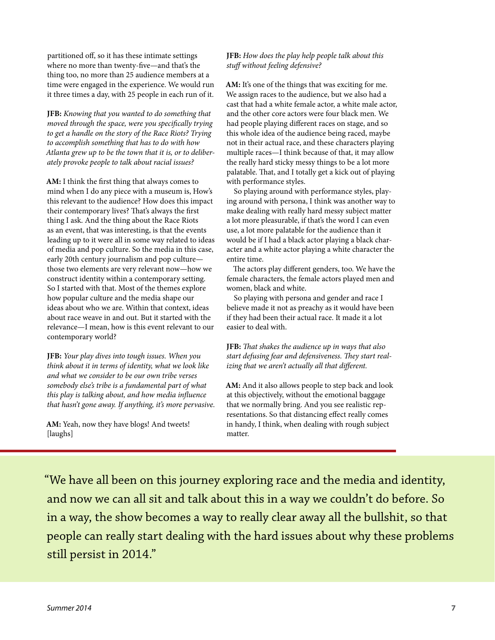partitioned off, so it has these intimate settings where no more than twenty-five—and that's the thing too, no more than 25 audience members at a time were engaged in the experience. We would run it three times a day, with 25 people in each run of it.

**JFB:** *Knowing that you wanted to do something that moved through the space, were you specifically trying to get a handle on the story of the Race Riots? Trying to accomplish something that has to do with how Atlanta grew up to be the town that it is, or to deliberately provoke people to talk about racial issues?*

**AM:** I think the first thing that always comes to mind when I do any piece with a museum is, How's this relevant to the audience? How does this impact their contemporary lives? That's always the first thing I ask. And the thing about the Race Riots as an event, that was interesting, is that the events leading up to it were all in some way related to ideas of media and pop culture. So the media in this case, early 20th century journalism and pop culture those two elements are very relevant now—how we construct identity within a contemporary setting. So I started with that. Most of the themes explore how popular culture and the media shape our ideas about who we are. Within that context, ideas about race weave in and out. But it started with the relevance—I mean, how is this event relevant to our contemporary world?

**JFB:** *Your play dives into tough issues. When you think about it in terms of identity, what we look like and what we consider to be our own tribe verses somebody else's tribe is a fundamental part of what this play is talking about, and how media influence that hasn't gone away. If anything, it's more pervasive.*

**AM:** Yeah, now they have blogs! And tweets! [laughs]

#### **JFB:** *How does the play help people talk about this stuff without feeling defensive?*

**AM:** It's one of the things that was exciting for me. We assign races to the audience, but we also had a cast that had a white female actor, a white male actor, and the other core actors were four black men. We had people playing different races on stage, and so this whole idea of the audience being raced, maybe not in their actual race, and these characters playing multiple races—I think because of that, it may allow the really hard sticky messy things to be a lot more palatable. That, and I totally get a kick out of playing with performance styles.

So playing around with performance styles, playing around with persona, I think was another way to make dealing with really hard messy subject matter a lot more pleasurable, if that's the word I can even use, a lot more palatable for the audience than it would be if I had a black actor playing a black character and a white actor playing a white character the entire time.

The actors play different genders, too. We have the female characters, the female actors played men and women, black and white.

So playing with persona and gender and race I believe made it not as preachy as it would have been if they had been their actual race. It made it a lot easier to deal with.

**JFB:** *That shakes the audience up in ways that also start defusing fear and defensiveness. They start realizing that we aren't actually all that different.*

**AM:** And it also allows people to step back and look at this objectively, without the emotional baggage that we normally bring. And you see realistic representations. So that distancing effect really comes in handy, I think, when dealing with rough subject matter.

"We have all been on this journey exploring race and the media and identity, and now we can all sit and talk about this in a way we couldn't do before. So in a way, the show becomes a way to really clear away all the bullshit, so that people can really start dealing with the hard issues about why these problems still persist in 2014."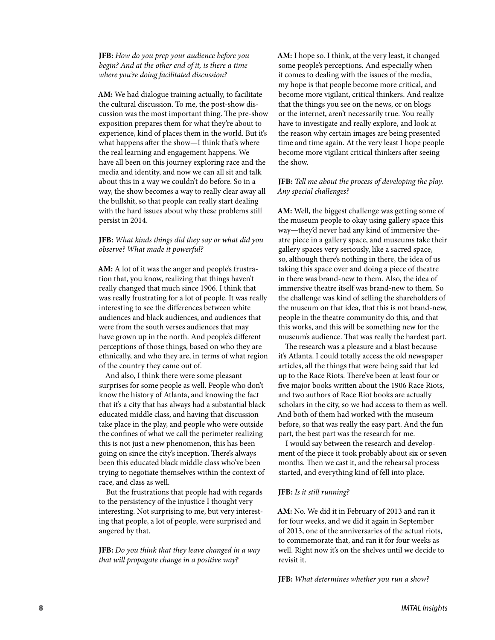**JFB:** *How do you prep your audience before you begin? And at the other end of it, is there a time where you're doing facilitated discussion?*

**AM:** We had dialogue training actually, to facilitate the cultural discussion. To me, the post-show discussion was the most important thing. The pre-show exposition prepares them for what they're about to experience, kind of places them in the world. But it's what happens after the show—I think that's where the real learning and engagement happens. We have all been on this journey exploring race and the media and identity, and now we can all sit and talk about this in a way we couldn't do before. So in a way, the show becomes a way to really clear away all the bullshit, so that people can really start dealing with the hard issues about why these problems still persist in 2014.

**JFB:** *What kinds things did they say or what did you observe? What made it powerful?*

**AM:** A lot of it was the anger and people's frustration that, you know, realizing that things haven't really changed that much since 1906. I think that was really frustrating for a lot of people. It was really interesting to see the differences between white audiences and black audiences, and audiences that were from the south verses audiences that may have grown up in the north. And people's different perceptions of those things, based on who they are ethnically, and who they are, in terms of what region of the country they came out of.

And also, I think there were some pleasant surprises for some people as well. People who don't know the history of Atlanta, and knowing the fact that it's a city that has always had a substantial black educated middle class, and having that discussion take place in the play, and people who were outside the confines of what we call the perimeter realizing this is not just a new phenomenon, this has been going on since the city's inception. There's always been this educated black middle class who've been trying to negotiate themselves within the context of race, and class as well.

But the frustrations that people had with regards to the persistency of the injustice I thought very interesting. Not surprising to me, but very interesting that people, a lot of people, were surprised and angered by that.

**JFB:** *Do you think that they leave changed in a way that will propagate change in a positive way?*

**AM:** I hope so. I think, at the very least, it changed some people's perceptions. And especially when it comes to dealing with the issues of the media, my hope is that people become more critical, and become more vigilant, critical thinkers. And realize that the things you see on the news, or on blogs or the internet, aren't necessarily true. You really have to investigate and really explore, and look at the reason why certain images are being presented time and time again. At the very least I hope people become more vigilant critical thinkers after seeing the show.

#### **JFB:** *Tell me about the process of developing the play. Any special challenges?*

**AM:** Well, the biggest challenge was getting some of the museum people to okay using gallery space this way—they'd never had any kind of immersive theatre piece in a gallery space, and museums take their gallery spaces very seriously, like a sacred space, so, although there's nothing in there, the idea of us taking this space over and doing a piece of theatre in there was brand-new to them. Also, the idea of immersive theatre itself was brand-new to them. So the challenge was kind of selling the shareholders of the museum on that idea, that this is not brand-new, people in the theatre community do this, and that this works, and this will be something new for the museum's audience. That was really the hardest part.

The research was a pleasure and a blast because it's Atlanta. I could totally access the old newspaper articles, all the things that were being said that led up to the Race Riots. There've been at least four or five major books written about the 1906 Race Riots, and two authors of Race Riot books are actually scholars in the city, so we had access to them as well. And both of them had worked with the museum before, so that was really the easy part. And the fun part, the best part was the research for me.

I would say between the research and development of the piece it took probably about six or seven months. Then we cast it, and the rehearsal process started, and everything kind of fell into place.

#### **JFB:** *Is it still running?*

**AM:** No. We did it in February of 2013 and ran it for four weeks, and we did it again in September of 2013, one of the anniversaries of the actual riots, to commemorate that, and ran it for four weeks as well. Right now it's on the shelves until we decide to revisit it.

**JFB:** *What determines whether you run a show?*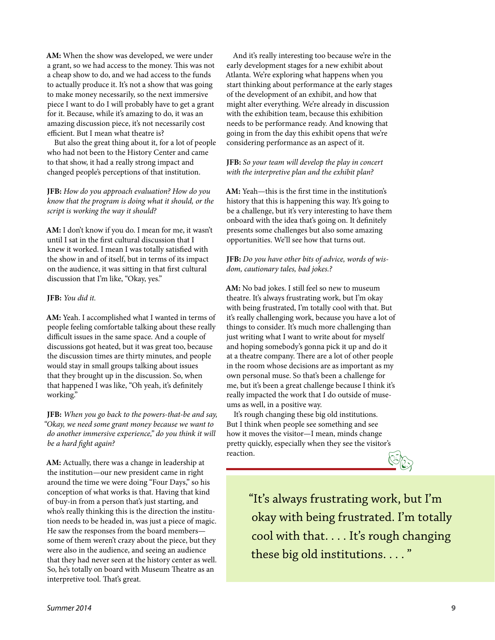**AM:** When the show was developed, we were under a grant, so we had access to the money. This was not a cheap show to do, and we had access to the funds to actually produce it. It's not a show that was going to make money necessarily, so the next immersive piece I want to do I will probably have to get a grant for it. Because, while it's amazing to do, it was an amazing discussion piece, it's not necessarily cost efficient. But I mean what theatre is?

But also the great thing about it, for a lot of people who had not been to the History Center and came to that show, it had a really strong impact and changed people's perceptions of that institution.

**JFB:** *How do you approach evaluation? How do you know that the program is doing what it should, or the script is working the way it should?*

**AM:** I don't know if you do. I mean for me, it wasn't until I sat in the first cultural discussion that I knew it worked. I mean I was totally satisfied with the show in and of itself, but in terms of its impact on the audience, it was sitting in that first cultural discussion that I'm like, "Okay, yes."

#### **JFB:** *You did it.*

**AM:** Yeah. I accomplished what I wanted in terms of people feeling comfortable talking about these really difficult issues in the same space. And a couple of discussions got heated, but it was great too, because the discussion times are thirty minutes, and people would stay in small groups talking about issues that they brought up in the discussion. So, when that happened I was like, "Oh yeah, it's definitely working."

**JFB:** *When you go back to the powers-that-be and say, "Okay, we need some grant money because we want to do another immersive experience," do you think it will be a hard fight again?*

**AM:** Actually, there was a change in leadership at the institution—our new president came in right around the time we were doing "Four Days," so his conception of what works is that. Having that kind of buy-in from a person that's just starting, and who's really thinking this is the direction the institution needs to be headed in, was just a piece of magic. He saw the responses from the board members some of them weren't crazy about the piece, but they were also in the audience, and seeing an audience that they had never seen at the history center as well. So, he's totally on board with Museum Theatre as an interpretive tool. That's great.

And it's really interesting too because we're in the early development stages for a new exhibit about Atlanta. We're exploring what happens when you start thinking about performance at the early stages of the development of an exhibit, and how that might alter everything. We're already in discussion with the exhibition team, because this exhibition needs to be performance ready. And knowing that going in from the day this exhibit opens that we're considering performance as an aspect of it.

#### **JFB:** *So your team will develop the play in concert with the interpretive plan and the exhibit plan?*

**AM:** Yeah—this is the first time in the institution's history that this is happening this way. It's going to be a challenge, but it's very interesting to have them onboard with the idea that's going on. It definitely presents some challenges but also some amazing opportunities. We'll see how that turns out.

#### **JFB:** *Do you have other bits of advice, words of wisdom, cautionary tales, bad jokes.?*

**AM:** No bad jokes. I still feel so new to museum theatre. It's always frustrating work, but I'm okay with being frustrated, I'm totally cool with that. But it's really challenging work, because you have a lot of things to consider. It's much more challenging than just writing what I want to write about for myself and hoping somebody's gonna pick it up and do it at a theatre company. There are a lot of other people in the room whose decisions are as important as my own personal muse. So that's been a challenge for me, but it's been a great challenge because I think it's really impacted the work that I do outside of museums as well, in a positive way.

It's rough changing these big old institutions. But I think when people see something and see how it moves the visitor—I mean, minds change pretty quickly, especially when they see the visitor's reaction.

 $\mathbb{C}_{\mathbb{C}}$ 

"It's always frustrating work, but I'm okay with being frustrated. I'm totally cool with that. . . . It's rough changing these big old institutions. . . . "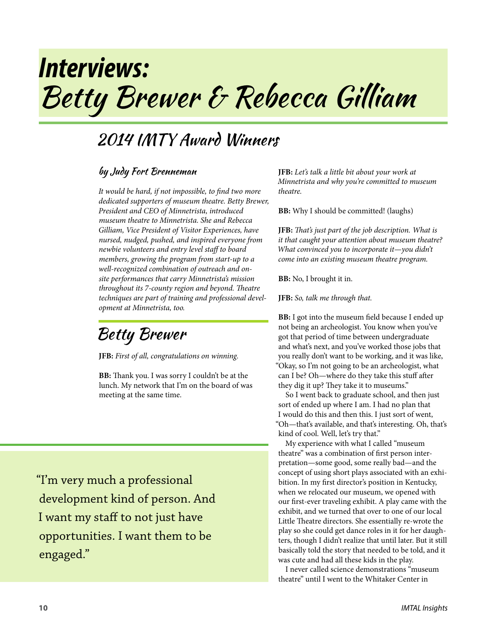# *Interviews:* Betty Brewer & Rebecca Gilliam

## 2014 IMTY Award Winners

### by Judy Fort Brenneman

*It would be hard, if not impossible, to find two more dedicated supporters of museum theatre. Betty Brewer, President and CEO of Minnetrista, introduced museum theatre to Minnetrista. She and Rebecca Gilliam, Vice President of Visitor Experiences, have nursed, nudged, pushed, and inspired everyone from newbie volunteers and entry level staff to board members, growing the program from start-up to a well-recognized combination of outreach and onsite performances that carry Minnetrista's mission throughout its 7-county region and beyond. Theatre techniques are part of training and professional development at Minnetrista, too.*

Betty Brewer

**JFB:** *First of all, congratulations on winning.*

**BB:** Thank you. I was sorry I couldn't be at the lunch. My network that I'm on the board of was meeting at the same time.

"I'm very much a professional development kind of person. And I want my staff to not just have opportunities. I want them to be engaged."

**JFB:** *Let's talk a little bit about your work at Minnetrista and why you're committed to museum theatre.*

**BB:** Why I should be committed! (laughs)

**JFB:** *That's just part of the job description. What is it that caught your attention about museum theatre? What convinced you to incorporate it—you didn't come into an existing museum theatre program.*

**BB:** No, I brought it in.

**JFB:** *So, talk me through that.*

**BB:** I got into the museum field because I ended up not being an archeologist. You know when you've got that period of time between undergraduate and what's next, and you've worked those jobs that you really don't want to be working, and it was like, "Okay, so I'm not going to be an archeologist, what can I be? Oh—where do they take this stuff after they dig it up? They take it to museums."

So I went back to graduate school, and then just sort of ended up where I am. I had no plan that I would do this and then this. I just sort of went, "Oh—that's available, and that's interesting. Oh, that's kind of cool. Well, let's try that."

My experience with what I called "museum theatre" was a combination of first person interpretation—some good, some really bad—and the concept of using short plays associated with an exhibition. In my first director's position in Kentucky, when we relocated our museum, we opened with our first-ever traveling exhibit. A play came with the exhibit, and we turned that over to one of our local Little Theatre directors. She essentially re-wrote the play so she could get dance roles in it for her daughters, though I didn't realize that until later. But it still basically told the story that needed to be told, and it was cute and had all these kids in the play.

I never called science demonstrations "museum theatre" until I went to the Whitaker Center in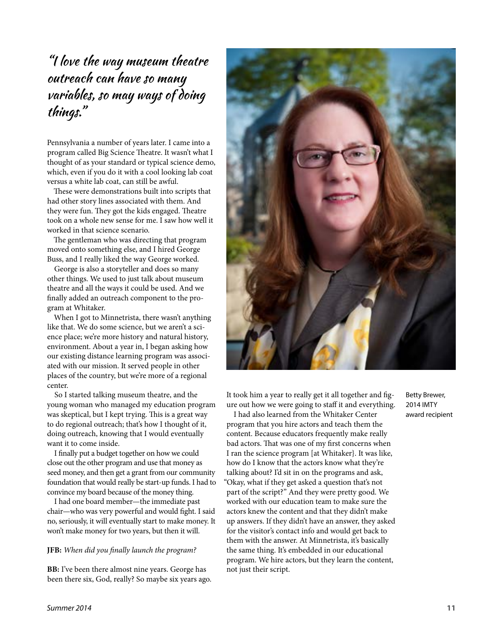"I love the way museum theatre outreach can have so many variables, so may ways of doing things."

Pennsylvania a number of years later. I came into a program called Big Science Theatre. It wasn't what I thought of as your standard or typical science demo, which, even if you do it with a cool looking lab coat versus a white lab coat, can still be awful.

These were demonstrations built into scripts that had other story lines associated with them. And they were fun. They got the kids engaged. Theatre took on a whole new sense for me. I saw how well it worked in that science scenario.

The gentleman who was directing that program moved onto something else, and I hired George Buss, and I really liked the way George worked.

George is also a storyteller and does so many other things. We used to just talk about museum theatre and all the ways it could be used. And we finally added an outreach component to the program at Whitaker.

When I got to Minnetrista, there wasn't anything like that. We do some science, but we aren't a science place; we're more history and natural history, environment. About a year in, I began asking how our existing distance learning program was associated with our mission. It served people in other places of the country, but we're more of a regional center.

So I started talking museum theatre, and the young woman who managed my education program was skeptical, but I kept trying. This is a great way to do regional outreach; that's how I thought of it, doing outreach, knowing that I would eventually want it to come inside.

I finally put a budget together on how we could close out the other program and use that money as seed money, and then get a grant from our community foundation that would really be start-up funds. I had to convince my board because of the money thing.

I had one board member—the immediate past chair—who was very powerful and would fight. I said no, seriously, it will eventually start to make money. It won't make money for two years, but then it will.

#### **JFB:** *When did you finally launch the program?*

**BB:** I've been there almost nine years. George has been there six, God, really? So maybe six years ago.



It took him a year to really get it all together and figure out how we were going to staff it and everything.

I had also learned from the Whitaker Center program that you hire actors and teach them the content. Because educators frequently make really bad actors. That was one of my first concerns when I ran the science program [at Whitaker}. It was like, how do I know that the actors know what they're talking about? I'd sit in on the programs and ask, "Okay, what if they get asked a question that's not part of the script?" And they were pretty good. We worked with our education team to make sure the actors knew the content and that they didn't make up answers. If they didn't have an answer, they asked for the visitor's contact info and would get back to them with the answer. At Minnetrista, it's basically the same thing. It's embedded in our educational program. We hire actors, but they learn the content, not just their script.

Betty Brewer, 2014 IMTY award recipient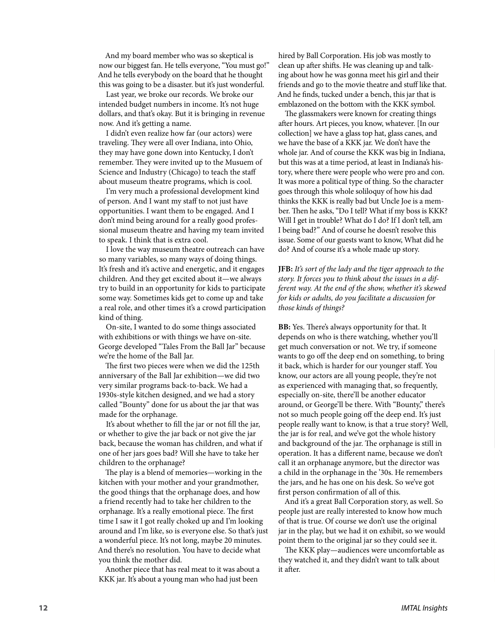And my board member who was so skeptical is now our biggest fan. He tells everyone, "You must go!" And he tells everybody on the board that he thought this was going to be a disaster. but it's just wonderful.

Last year, we broke our records. We broke our intended budget numbers in income. It's not huge dollars, and that's okay. But it is bringing in revenue now. And it's getting a name.

I didn't even realize how far (our actors) were traveling. They were all over Indiana, into Ohio, they may have gone down into Kentucky, I don't remember. They were invited up to the Musuem of Science and Industry (Chicago) to teach the staff about museum theatre programs, which is cool.

I'm very much a professional development kind of person. And I want my staff to not just have opportunities. I want them to be engaged. And I don't mind being around for a really good professional museum theatre and having my team invited to speak. I think that is extra cool.

I love the way museum theatre outreach can have so many variables, so many ways of doing things. It's fresh and it's active and energetic, and it engages children. And they get excited about it—we always try to build in an opportunity for kids to participate some way. Sometimes kids get to come up and take a real role, and other times it's a crowd participation kind of thing.

On-site, I wanted to do some things associated with exhibitions or with things we have on-site. George developed "Tales From the Ball Jar" because we're the home of the Ball Jar.

The first two pieces were when we did the 125th anniversary of the Ball Jar exhibition—we did two very similar programs back-to-back. We had a 1930s-style kitchen designed, and we had a story called "Bounty" done for us about the jar that was made for the orphanage.

It's about whether to fill the jar or not fill the jar, or whether to give the jar back or not give the jar back, because the woman has children, and what if one of her jars goes bad? Will she have to take her children to the orphanage?

The play is a blend of memories—working in the kitchen with your mother and your grandmother, the good things that the orphanage does, and how a friend recently had to take her children to the orphanage. It's a really emotional piece. The first time I saw it I got really choked up and I'm looking around and I'm like, so is everyone else. So that's just a wonderful piece. It's not long, maybe 20 minutes. And there's no resolution. You have to decide what you think the mother did.

Another piece that has real meat to it was about a KKK jar. It's about a young man who had just been

hired by Ball Corporation. His job was mostly to clean up after shifts. He was cleaning up and talking about how he was gonna meet his girl and their friends and go to the movie theatre and stuff like that. And he finds, tucked under a bench, this jar that is emblazoned on the bottom with the KKK symbol.

The glassmakers were known for creating things after hours. Art pieces, you know, whatever. [In our collection] we have a glass top hat, glass canes, and we have the base of a KKK jar. We don't have the whole jar. And of course the KKK was big in Indiana, but this was at a time period, at least in Indiana's history, where there were people who were pro and con. It was more a political type of thing. So the character goes through this whole soliloquy of how his dad thinks the KKK is really bad but Uncle Joe is a member. Then he asks, "Do I tell? What if my boss is KKK? Will I get in trouble? What do I do? If I don't tell, am I being bad?" And of course he doesn't resolve this issue. Some of our guests want to know, What did he do? And of course it's a whole made up story.

**JFB:** *It's sort of the lady and the tiger approach to the story. It forces you to think about the issues in a different way. At the end of the show, whether it's skewed for kids or adults, do you facilitate a discussion for those kinds of things?*

**BB:** Yes. There's always opportunity for that. It depends on who is there watching, whether you'll get much conversation or not. We try, if someone wants to go off the deep end on something, to bring it back, which is harder for our younger staff. You know, our actors are all young people, they're not as experienced with managing that, so frequently, especially on-site, there'll be another educator around, or George'll be there. With "Bounty," there's not so much people going off the deep end. It's just people really want to know, is that a true story? Well, the jar is for real, and we've got the whole history and background of the jar. The orphanage is still in operation. It has a different name, because we don't call it an orphanage anymore, but the director was a child in the orphanage in the '30s. He remembers the jars, and he has one on his desk. So we've got first person confirmation of all of this.

And it's a great Ball Corporation story, as well. So people just are really interested to know how much of that is true. Of course we don't use the original jar in the play, but we had it on exhibit, so we would point them to the original jar so they could see it.

The KKK play—audiences were uncomfortable as they watched it, and they didn't want to talk about it after.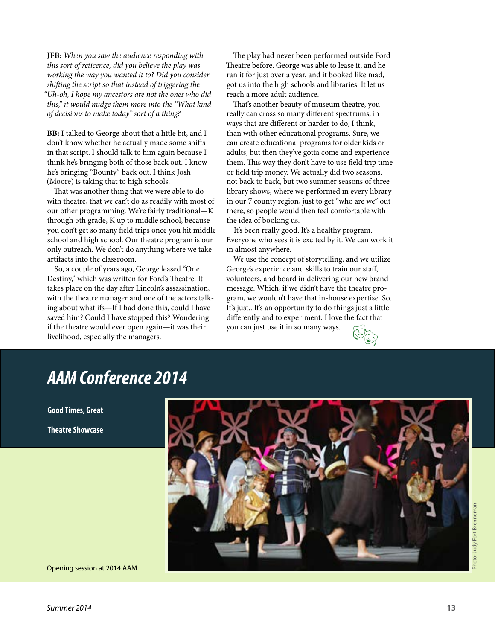**JFB:** *When you saw the audience responding with this sort of reticence, did you believe the play was working the way you wanted it to? Did you consider shifting the script so that instead of triggering the "Uh-oh, I hope my ancestors are not the ones who did this," it would nudge them more into the "What kind of decisions to make today" sort of a thing?*

**BB:** I talked to George about that a little bit, and I don't know whether he actually made some shifts in that script. I should talk to him again because I think he's bringing both of those back out. I know he's bringing "Bounty" back out. I think Josh (Moore) is taking that to high schools.

That was another thing that we were able to do with theatre, that we can't do as readily with most of our other programming. We're fairly traditional—K through 5th grade, K up to middle school, because you don't get so many field trips once you hit middle school and high school. Our theatre program is our only outreach. We don't do anything where we take artifacts into the classroom.

So, a couple of years ago, George leased "One Destiny," which was written for Ford's Theatre. It takes place on the day after Lincoln's assassination, with the theatre manager and one of the actors talking about what ifs—If I had done this, could I have saved him? Could I have stopped this? Wondering if the theatre would ever open again—it was their livelihood, especially the managers.

The play had never been performed outside Ford Theatre before. George was able to lease it, and he ran it for just over a year, and it booked like mad, got us into the high schools and libraries. It let us reach a more adult audience.

That's another beauty of museum theatre, you really can cross so many different spectrums, in ways that are different or harder to do, I think, than with other educational programs. Sure, we can create educational programs for older kids or adults, but then they've gotta come and experience them. This way they don't have to use field trip time or field trip money. We actually did two seasons, not back to back, but two summer seasons of three library shows, where we performed in every library in our 7 county region, just to get "who are we" out there, so people would then feel comfortable with the idea of booking us.

It's been really good. It's a healthy program. Everyone who sees it is excited by it. We can work it in almost anywhere.

We use the concept of storytelling, and we utilize George's experience and skills to train our staff, volunteers, and board in delivering our new brand message. Which, if we didn't have the theatre program, we wouldn't have that in-house expertise. So. It's just...It's an opportunity to do things just a little differently and to experiment. I love the fact that you can just use it in so many ways.



## *AAM Conference 2014*

**Good Times, Great**

**Theatre Showcase**



Opening session at 2014 AAM.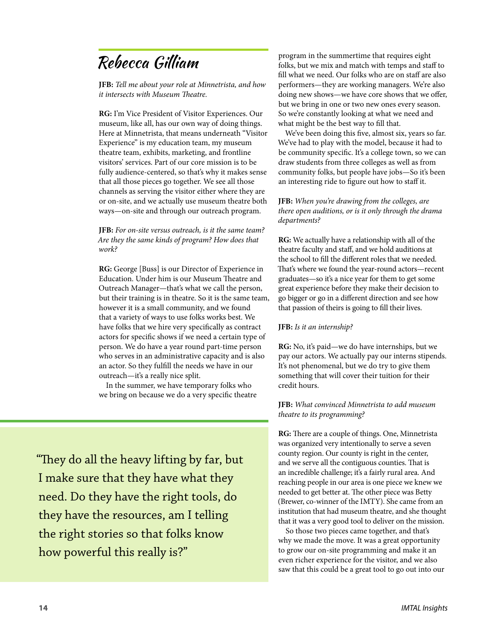# Rebecca Gilliam

**JFB:** *Tell me about your role at Minnetrista, and how it intersects with Museum Theatre.*

**RG:** I'm Vice President of Visitor Experiences. Our museum, like all, has our own way of doing things. Here at Minnetrista, that means underneath "Visitor Experience" is my education team, my museum theatre team, exhibits, marketing, and frontline visitors' services. Part of our core mission is to be fully audience-centered, so that's why it makes sense that all those pieces go together. We see all those channels as serving the visitor either where they are or on-site, and we actually use museum theatre both ways—on-site and through our outreach program.

**JFB:** *For on-site versus outreach, is it the same team? Are they the same kinds of program? How does that work?*

**RG:** George [Buss] is our Director of Experience in Education. Under him is our Museum Theatre and Outreach Manager—that's what we call the person, but their training is in theatre. So it is the same team, however it is a small community, and we found that a variety of ways to use folks works best. We have folks that we hire very specifically as contract actors for specific shows if we need a certain type of person. We do have a year round part-time person who serves in an administrative capacity and is also an actor. So they fulfill the needs we have in our outreach—it's a really nice split.

In the summer, we have temporary folks who we bring on because we do a very specific theatre

"They do all the heavy lifting by far, but I make sure that they have what they need. Do they have the right tools, do they have the resources, am I telling the right stories so that folks know how powerful this really is?"

program in the summertime that requires eight folks, but we mix and match with temps and staff to fill what we need. Our folks who are on staff are also performers—they are working managers. We're also doing new shows—we have core shows that we offer, but we bring in one or two new ones every season. So we're constantly looking at what we need and what might be the best way to fill that.

We've been doing this five, almost six, years so far. We've had to play with the model, because it had to be community specific. It's a college town, so we can draw students from three colleges as well as from community folks, but people have jobs—So it's been an interesting ride to figure out how to staff it.

**JFB:** *When you're drawing from the colleges, are there open auditions, or is it only through the drama departments?*

**RG:** We actually have a relationship with all of the theatre faculty and staff, and we hold auditions at the school to fill the different roles that we needed. That's where we found the year-round actors—recent graduates—so it's a nice year for them to get some great experience before they make their decision to go bigger or go in a different direction and see how that passion of theirs is going to fill their lives.

#### **JFB:** *Is it an internship?*

**RG:** No, it's paid—we do have internships, but we pay our actors. We actually pay our interns stipends. It's not phenomenal, but we do try to give them something that will cover their tuition for their credit hours.

**JFB:** *What convinced Minnetrista to add museum theatre to its programming?*

**RG:** There are a couple of things. One, Minnetrista was organized very intentionally to serve a seven county region. Our county is right in the center, and we serve all the contiguous counties. That is an incredible challenge; it's a fairly rural area. And reaching people in our area is one piece we knew we needed to get better at. The other piece was Betty (Brewer, co-winner of the IMTY). She came from an institution that had museum theatre, and she thought that it was a very good tool to deliver on the mission.

So those two pieces came together, and that's why we made the move. It was a great opportunity to grow our on-site programming and make it an even richer experience for the visitor, and we also saw that this could be a great tool to go out into our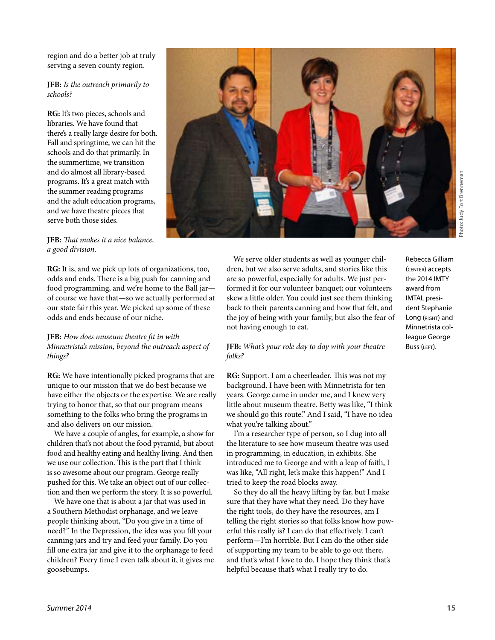hoto: Judy Fort Brenneman Photo: Judy Fort Brenneman

region and do a better job at truly serving a seven county region.

#### **JFB:** *Is the outreach primarily to schools?*

**RG:** It's two pieces, schools and libraries. We have found that there's a really large desire for both. Fall and springtime, we can hit the schools and do that primarily. In the summertime, we transition and do almost all library-based programs. It's a great match with the summer reading programs and the adult education programs, and we have theatre pieces that serve both those sides.

#### **JFB:** *That makes it a nice balance, a good division.*

**RG:** It is, and we pick up lots of organizations, too, odds and ends. There is a big push for canning and food programming, and we're home to the Ball jar of course we have that—so we actually performed at our state fair this year. We picked up some of these odds and ends because of our niche.

#### **JFB:** *How does museum theatre fit in with Minnetrista's mission, beyond the outreach aspect of things?*

**RG:** We have intentionally picked programs that are unique to our mission that we do best because we have either the objects or the expertise. We are really trying to honor that, so that our program means something to the folks who bring the programs in and also delivers on our mission.

We have a couple of angles, for example, a show for children that's not about the food pyramid, but about food and healthy eating and healthy living. And then we use our collection. This is the part that I think is so awesome about our program. George really pushed for this. We take an object out of our collection and then we perform the story. It is so powerful.

We have one that is about a jar that was used in a Southern Methodist orphanage, and we leave people thinking about, "Do you give in a time of need?" In the Depression, the idea was you fill your canning jars and try and feed your family. Do you fill one extra jar and give it to the orphanage to feed children? Every time I even talk about it, it gives me goosebumps.

We serve older students as well as younger children, but we also serve adults, and stories like this are so powerful, especially for adults. We just performed it for our volunteer banquet; our volunteers skew a little older. You could just see them thinking back to their parents canning and how that felt, and the joy of being with your family, but also the fear of not having enough to eat.

#### **JFB:** *What's your role day to day with your theatre folks?*

**RG:** Support. I am a cheerleader. This was not my background. I have been with Minnetrista for ten years. George came in under me, and I knew very little about museum theatre. Betty was like, "I think we should go this route." And I said, "I have no idea what you're talking about."

I'm a researcher type of person, so I dug into all the literature to see how museum theatre was used in programming, in education, in exhibits. She introduced me to George and with a leap of faith, I was like, "All right, let's make this happen!" And I tried to keep the road blocks away.

So they do all the heavy lifting by far, but I make sure that they have what they need. Do they have the right tools, do they have the resources, am I telling the right stories so that folks know how powerful this really is? I can do that effectively. I can't perform—I'm horrible. But I can do the other side of supporting my team to be able to go out there, and that's what I love to do. I hope they think that's helpful because that's what I really try to do.

Rebecca Gilliam (CENTER) accepts the 2014 IMTY award from IMTAL president Stephanie Long (RIGHT) and Minnetrista colleague George Buss (LEFT).

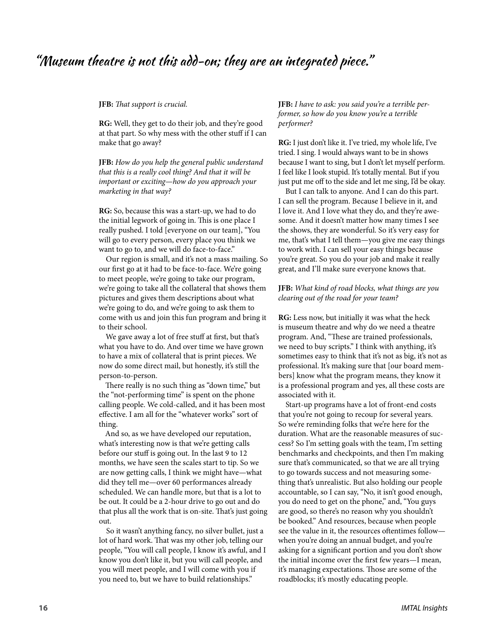## "Museum theatre is not this add-on; they are an integrated piece."  $\,$

**JFB:** *That support is crucial.*

**RG:** Well, they get to do their job, and they're good at that part. So why mess with the other stuff if I can make that go away?

**JFB:** *How do you help the general public understand that this is a really cool thing? And that it will be important or exciting—how do you approach your marketing in that way?*

**RG:** So, because this was a start-up, we had to do the initial legwork of going in. This is one place I really pushed. I told [everyone on our team], "You will go to every person, every place you think we want to go to, and we will do face-to-face."

Our region is small, and it's not a mass mailing. So our first go at it had to be face-to-face. We're going to meet people, we're going to take our program, we're going to take all the collateral that shows them pictures and gives them descriptions about what we're going to do, and we're going to ask them to come with us and join this fun program and bring it to their school.

We gave away a lot of free stuff at first, but that's what you have to do. And over time we have grown to have a mix of collateral that is print pieces. We now do some direct mail, but honestly, it's still the person-to-person.

There really is no such thing as "down time," but the "not-performing time" is spent on the phone calling people. We cold-called, and it has been most effective. I am all for the "whatever works" sort of thing.

And so, as we have developed our reputation, what's interesting now is that we're getting calls before our stuff is going out. In the last 9 to 12 months, we have seen the scales start to tip. So we are now getting calls, I think we might have—what did they tell me—over 60 performances already scheduled. We can handle more, but that is a lot to be out. It could be a 2-hour drive to go out and do that plus all the work that is on-site. That's just going out.

So it wasn't anything fancy, no silver bullet, just a lot of hard work. That was my other job, telling our people, "You will call people, I know it's awful, and I know you don't like it, but you will call people, and you will meet people, and I will come with you if you need to, but we have to build relationships."

**JFB:** *I have to ask: you said you're a terrible performer, so how do you know you're a terrible performer?*

**RG:** I just don't like it. I've tried, my whole life, I've tried. I sing. I would always want to be in shows because I want to sing, but I don't let myself perform. I feel like I look stupid. It's totally mental. But if you just put me off to the side and let me sing, I'd be okay.

But I can talk to anyone. And I can do this part. I can sell the program. Because I believe in it, and I love it. And I love what they do, and they're awesome. And it doesn't matter how many times I see the shows, they are wonderful. So it's very easy for me, that's what I tell them—you give me easy things to work with. I can sell your easy things because you're great. So you do your job and make it really great, and I'll make sure everyone knows that.

#### **JFB:** *What kind of road blocks, what things are you clearing out of the road for your team?*

**RG:** Less now, but initially it was what the heck is museum theatre and why do we need a theatre program. And, "These are trained professionals, we need to buy scripts." I think with anything, it's sometimes easy to think that it's not as big, it's not as professional. It's making sure that [our board members] know what the program means, they know it is a professional program and yes, all these costs are associated with it.

Start-up programs have a lot of front-end costs that you're not going to recoup for several years. So we're reminding folks that we're here for the duration. What are the reasonable measures of success? So I'm setting goals with the team, I'm setting benchmarks and checkpoints, and then I'm making sure that's communicated, so that we are all trying to go towards success and not measuring something that's unrealistic. But also holding our people accountable, so I can say, "No, it isn't good enough, you do need to get on the phone," and, "You guys are good, so there's no reason why you shouldn't be booked." And resources, because when people see the value in it, the resources oftentimes follow when you're doing an annual budget, and you're asking for a significant portion and you don't show the initial income over the first few years—I mean, it's managing expectations. Those are some of the roadblocks; it's mostly educating people.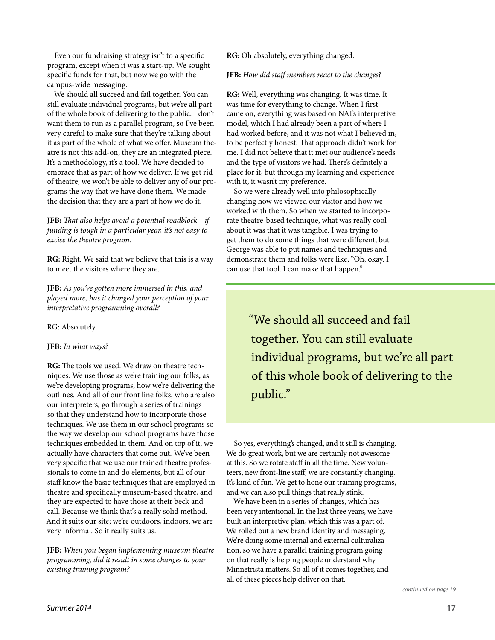Even our fundraising strategy isn't to a specific program, except when it was a start-up. We sought specific funds for that, but now we go with the campus-wide messaging.

We should all succeed and fail together. You can still evaluate individual programs, but we're all part of the whole book of delivering to the public. I don't want them to run as a parallel program, so I've been very careful to make sure that they're talking about it as part of the whole of what we offer. Museum theatre is not this add-on; they are an integrated piece. It's a methodology, it's a tool. We have decided to embrace that as part of how we deliver. If we get rid of theatre, we won't be able to deliver any of our programs the way that we have done them. We made the decision that they are a part of how we do it.

**JFB:** *That also helps avoid a potential roadblock—if funding is tough in a particular year, it's not easy to excise the theatre program.*

**RG:** Right. We said that we believe that this is a way to meet the visitors where they are.

**JFB:** *As you've gotten more immersed in this, and played more, has it changed your perception of your interpretative programming overall?*

RG: Absolutely

#### **JFB:** *In what ways?*

**RG:** The tools we used. We draw on theatre techniques. We use those as we're training our folks, as we're developing programs, how we're delivering the outlines. And all of our front line folks, who are also our interpreters, go through a series of trainings so that they understand how to incorporate those techniques. We use them in our school programs so the way we develop our school programs have those techniques embedded in them. And on top of it, we actually have characters that come out. We've been very specific that we use our trained theatre professionals to come in and do elements, but all of our staff know the basic techniques that are employed in theatre and specifically museum-based theatre, and they are expected to have those at their beck and call. Because we think that's a really solid method. And it suits our site; we're outdoors, indoors, we are very informal. So it really suits us.

**JFB:** *When you began implementing museum theatre programming, did it result in some changes to your existing training program?*

**RG:** Oh absolutely, everything changed.

#### **JFB:** *How did staff members react to the changes?*

**RG:** Well, everything was changing. It was time. It was time for everything to change. When I first came on, everything was based on NAI's interpretive model, which I had already been a part of where I had worked before, and it was not what I believed in, to be perfectly honest. That approach didn't work for me. I did not believe that it met our audience's needs and the type of visitors we had. There's definitely a place for it, but through my learning and experience with it, it wasn't my preference.

So we were already well into philosophically changing how we viewed our visitor and how we worked with them. So when we started to incorporate theatre-based technique, what was really cool about it was that it was tangible. I was trying to get them to do some things that were different, but George was able to put names and techniques and demonstrate them and folks were like, "Oh, okay. I can use that tool. I can make that happen."

> "We should all succeed and fail together. You can still evaluate individual programs, but we're all part of this whole book of delivering to the public."

So yes, everything's changed, and it still is changing. We do great work, but we are certainly not awesome at this. So we rotate staff in all the time. New volunteers, new front-line staff; we are constantly changing. It's kind of fun. We get to hone our training programs, and we can also pull things that really stink.

We have been in a series of changes, which has been very intentional. In the last three years, we have built an interpretive plan, which this was a part of. We rolled out a new brand identity and messaging. We're doing some internal and external culturalization, so we have a parallel training program going on that really is helping people understand why Minnetrista matters. So all of it comes together, and all of these pieces help deliver on that.

*continued on page 19*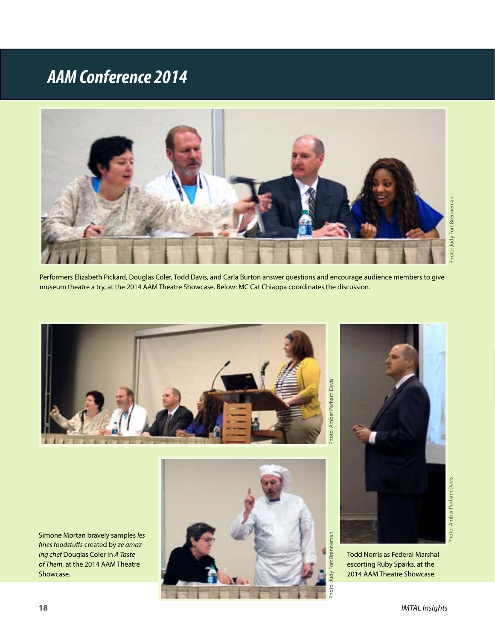# *AAM Conference 2014*



Performers Elizabeth Pickard, Douglas Coler, Todd Davis, and Carla Burton answer questions and encourage audience members to give museum theatre a try, at the 2014 AAM Theatre Showcase. Below: MC Cat Chiappa coordinates the discussion.



Simone Mortan bravely samples *les fines foodstuffs* created by *ze amazing chef* Douglas Coler in *A Taste of Them*, at the 2014 AAM Theatre Showcase.





Todd Norris as Federal Marshal escorting Ruby Sparks, at the 2014 AAM Theatre Showcase.

Photo: Amber Parham Davis

Photo: Amber Parham Davis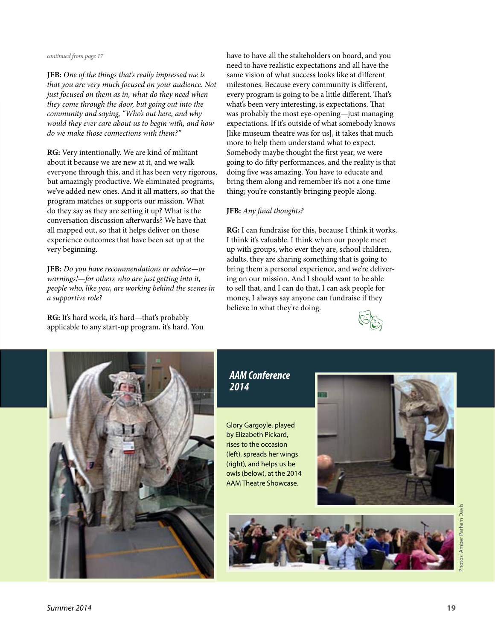#### *continued from page 17*

**JFB:** *One of the things that's really impressed me is that you are very much focused on your audience. Not just focused on them as in, what do they need when they come through the door, but going out into the community and saying, "Who's out here, and why would they ever care about us to begin with, and how do we make those connections with them?"*

**RG:** Very intentionally. We are kind of militant about it because we are new at it, and we walk everyone through this, and it has been very rigorous, but amazingly productive. We eliminated programs, we've added new ones. And it all matters, so that the program matches or supports our mission. What do they say as they are setting it up? What is the conversation discussion afterwards? We have that all mapped out, so that it helps deliver on those experience outcomes that have been set up at the very beginning.

**JFB:** *Do you have recommendations or advice—or warnings!—for others who are just getting into it, people who, like you, are working behind the scenes in a supportive role?*

**RG:** It's hard work, it's hard—that's probably applicable to any start-up program, it's hard. You have to have all the stakeholders on board, and you need to have realistic expectations and all have the same vision of what success looks like at different milestones. Because every community is different, every program is going to be a little different. That's what's been very interesting, is expectations. That was probably the most eye-opening—just managing expectations. If it's outside of what somebody knows [like museum theatre was for us], it takes that much more to help them understand what to expect. Somebody maybe thought the first year, we were going to do fifty performances, and the reality is that doing five was amazing. You have to educate and bring them along and remember it's not a one time thing; you're constantly bringing people along.

#### **JFB:** *Any final thoughts?*

**RG:** I can fundraise for this, because I think it works, I think it's valuable. I think when our people meet up with groups, who ever they are, school children, adults, they are sharing something that is going to bring them a personal experience, and we're delivering on our mission. And I should want to be able to sell that, and I can do that, I can ask people for money, I always say anyone can fundraise if they believe in what they're doing.





### *AAM Conference 2014*

Glory Gargoyle, played by Elizabeth Pickard, rises to the occasion (left), spreads her wings (right), and helps us be owls (below), at the 2014 AAM Theatre Showcase.



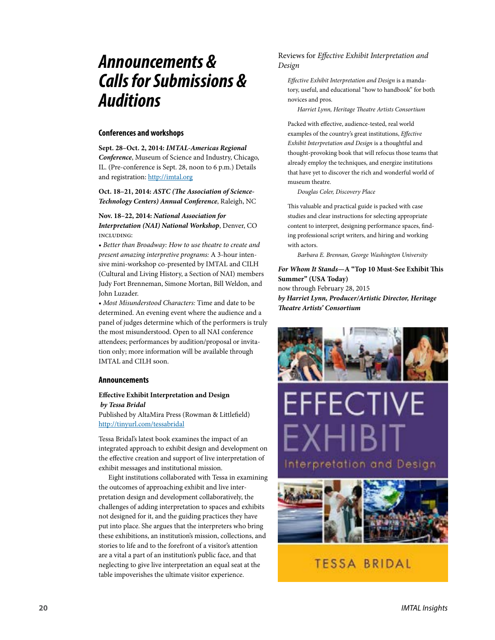## *Announcements & Calls for Submissions & Auditions*

#### **Conferences and workshops**

**Sept. 28–Oct. 2, 2014:** *IMTAL-Americas Regional Conference*, Museum of Science and Industry, Chicago, IL. (Pre-conference is Sept. 28, noon to 6 p.m.) Details and registration:<http://imtal.org>

**Oct. 18–21, 2014:** *ASTC (The Association of Science-Technology Centers) Annual Conference*, Raleigh, NC

#### **Nov. 18–22, 2014:** *National Association for*

*Interpretation (NAI) National Workshop*, Denver, CO including:

• *Better than Broadway: How to use theatre to create and present amazing interpretive programs:* A 3-hour intensive mini-workshop co-presented by IMTAL and CILH (Cultural and Living History, a Section of NAI) members Judy Fort Brenneman, Simone Mortan, Bill Weldon, and John Luzader.

• *Most Misunderstood Characters:* Time and date to be determined. An evening event where the audience and a panel of judges determine which of the performers is truly the most misunderstood. Open to all NAI conference attendees; performances by audition/proposal or invitation only; more information will be available through IMTAL and CILH soon.

#### **Announcements**

#### **Effective Exhibit Interpretation and Design** *by Tessa Bridal*

Published by AltaMira Press (Rowman & Littlefield) <http://tinyurl.com/tessabridal>

Tessa Bridal's latest book examines the impact of an integrated approach to exhibit design and development on the effective creation and support of live interpretation of exhibit messages and institutional mission.

Eight institutions collaborated with Tessa in examining the outcomes of approaching exhibit and live interpretation design and development collaboratively, the challenges of adding interpretation to spaces and exhibits not designed for it, and the guiding practices they have put into place. She argues that the interpreters who bring these exhibitions, an institution's mission, collections, and stories to life and to the forefront of a visitor's attention are a vital a part of an institution's public face, and that neglecting to give live interpretation an equal seat at the table impoverishes the ultimate visitor experience.

#### Reviews for *Effective Exhibit Interpretation and Design*

*Effective Exhibit Interpretation and Design* is a mandatory, useful, and educational "how to handbook" for both novices and pros.

*Harriet Lynn, Heritage Theatre Artists Consortium*

Packed with effective, audience-tested, real world examples of the country's great institutions, *Effective Exhibit Interpretation and Design* is a thoughtful and thought-provoking book that will refocus those teams that already employ the techniques, and energize institutions that have yet to discover the rich and wonderful world of museum theatre.

*Douglas Coler, Discovery Place*

This valuable and practical guide is packed with case studies and clear instructions for selecting appropriate content to interpret, designing performance spaces, finding professional script writers, and hiring and working with actors.

*Barbara E. Brennan, George Washington University*

*For Whom It Stands***—A "Top 10 Must-See Exhibit This Summer" (USA Today)** now through February 28, 2015 *by Harriet Lynn, Producer/Artistic Director, Heritage Theatre Artists' Consortium*



EFFECTIVE Interpretation and Design



### **TESSA BRIDAL**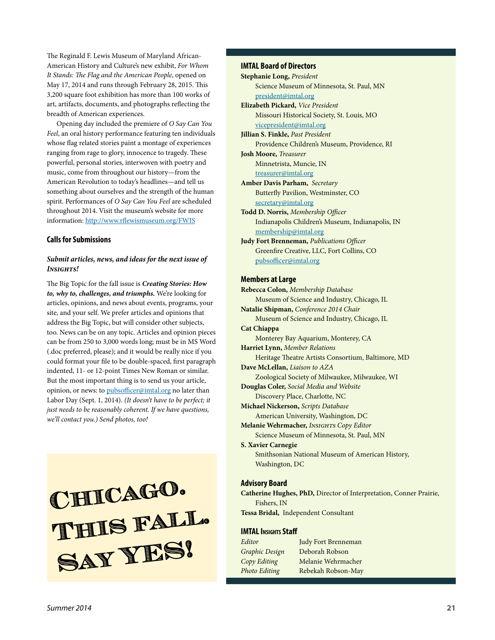The Reginald F. Lewis Museum of Maryland African-American History and Culture's new exhibit, *For Whom It Stands: The Flag and the American People*, opened on May 17, 2014 and runs through February 28, 2015. This 3,200 square foot exhibition has more than 100 works of art, artifacts, documents, and photographs reflecting the breadth of American experiences.

Opening day included the premiere of *O Say Can You Feel*, an oral history performance featuring ten individuals whose flag related stories paint a montage of experiences ranging from rage to glory, innocence to tragedy. These powerful, personal stories, interwoven with poetry and music, come from throughout our history—from the American Revolution to today's headlines—and tell us something about ourselves and the strength of the human spirit. Performances of *O Say Can You Feel* are scheduled throughout 2014. Visit the museum's website for more information: <http://www.rflewismuseum.org/FWIS>

#### **Calls for Submissions**

#### *Submit articles, news, and ideas for the next issue of Insights!*

The Big Topic for the fall issue is *Creating Stories: How to, why to, challenges, and triumphs.* We're looking for articles, opinions, and news about events, programs, your site, and your self. We prefer articles and opinions that address the Big Topic, but will consider other subjects, too. News can be on any topic. Articles and opinion pieces can be from 250 to 3,000 words long; must be in MS Word (.doc preferred, please); and it would be really nice if you could format your file to be double-spaced, first paragraph indented, 11- or 12-point Times New Roman or similar. But the most important thing is to send us your article, opinion, or news: to [pubsofficer@imtal.org](mailto:pubsofficer@imtal.org) no later than Labor Day (Sept. 1, 2014). *(It doesn't have to be perfect; it just needs to be reasonably coherent. If we have questions, we'll contact you.) Send photos, too!*

**Chicago. This fall. Say YES!**

#### **IMTAL Board of Directors**

```
Stephanie Long, President
    Science Museum of Minnesota, St. Paul, MN
    president@imtal.org
Elizabeth Pickard, Vice President
    Missouri Historical Society, St. Louis, MO
    vicepresident@imtal.org
Jillian S. Finkle, Past President
    Providence Children's Museum, Providence, RI
Josh Moore, Treasurer
    Minnetrista, Muncie, IN
    treasurer@imtal.org
Amber Davis Parham, Secretary
    Butterfly Pavilion, Westminster, CO
    secretary@imtal.org
Todd D. Norris, Membership Officer
    Indianapolis Children's Museum, Indianapolis, IN
    membership@imtal.org
Judy Fort Brenneman, Publications Officer
    Greenfire Creative, LLC, Fort Collins, CO
    pubsofficer@imtal.org
```
#### **Members at Large**

**Rebecca Colon,** *Membership Database* Museum of Science and Industry, Chicago, IL **Natalie Shipman,** *Conference 2014 Chair* Museum of Science and Industry, Chicago, IL **Cat Chiappa** Monterey Bay Aquarium, Monterey, CA **Harriet Lynn,** *Member Relations* Heritage Theatre Artists Consortium, Baltimore, MD **Dave McLellan,** *Liaison to AZA* Zoological Society of Milwaukee, Milwaukee, WI **Douglas Coler,** *Social Media and Website* Discovery Place, Charlotte, NC **Michael Nickerson,** *Scripts Database* American University, Washington, DC **Melanie Wehrmacher,** *Insights Copy Editor* Science Museum of Minnesota, St. Paul, MN **S. Xavier Carnegie** Smithsonian National Museum of American History, Washington, DC

#### **Advisory Board**

**Catherine Hughes, PhD,** Director of Interpretation, Conner Prairie, Fishers, IN **Tessa Bridal,** Independent Consultant

#### **IMTAL Insights Staff**

| Editor         | Judy Fort Brenneman |
|----------------|---------------------|
| Graphic Design | Deborah Robson      |
| Copy Editing   | Melanie Wehrmacher  |
| Photo Editing  | Rebekah Robson-May  |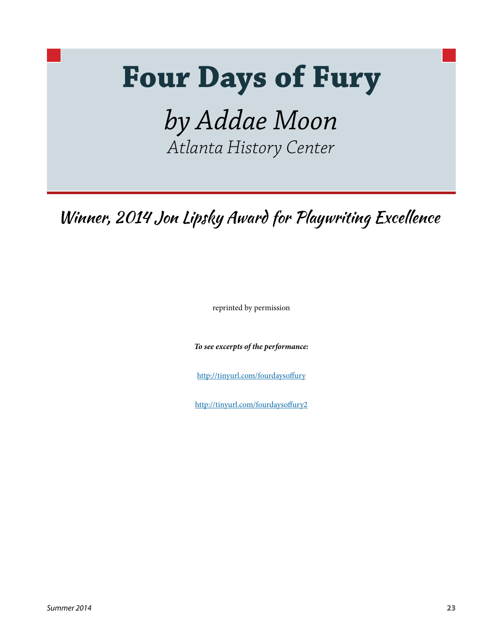# **Four Days of Fury**

*by Addae Moon Atlanta History Center*

Winner, 2014 Jon Lipsky Award for Playwriting Excellence

reprinted by permission

*To see excerpts of the performance:* 

<http://tinyurl.com/fourdaysoffury>

<http://tinyurl.com/fourdaysoffury2>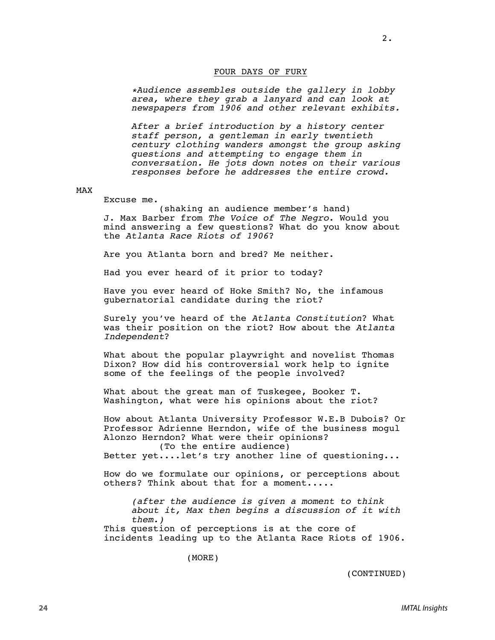#### FOUR DAYS OF FURY

*\*Audience assembles outside the gallery in lobby area, where they grab a lanyard and can look at newspapers from 1906 and other relevant exhibits.*

*After a brief introduction by a history center staff person, a gentleman in early twentieth century clothing wanders amongst the group asking questions and attempting to engage them in conversation. He jots down notes on their various responses before he addresses the entire crowd.*

#### MAX

#### Excuse me.

(shaking an audience member's hand) J. Max Barber from *The Voice of The Negro*. Would you mind answering a few questions? What do you know about the *Atlanta Race Riots of 1906*?

Are you Atlanta born and bred? Me neither.

Had you ever heard of it prior to today?

Have you ever heard of Hoke Smith? No, the infamous gubernatorial candidate during the riot?

Surely you've heard of the *Atlanta Constitution*? What was their position on the riot? How about the *Atlanta Independent*?

What about the popular playwright and novelist Thomas Dixon? How did his controversial work help to ignite some of the feelings of the people involved?

What about the great man of Tuskegee, Booker T. Washington, what were his opinions about the riot?

How about Atlanta University Professor W.E.B Dubois? Or Professor Adrienne Herndon, wife of the business mogul Alonzo Herndon? What were their opinions?

(To the entire audience) Better yet....let's try another line of questioning...

How do we formulate our opinions, or perceptions about others? Think about that for a moment.....

*(after the audience is given a moment to think about it, Max then begins a discussion of it with them.)*

This question of perceptions is at the core of incidents leading up to the Atlanta Race Riots of 1906.

(MORE)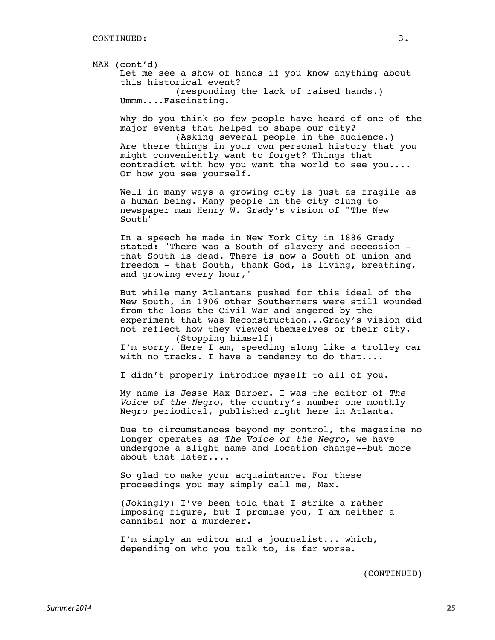MAX (cont'd) Let me see a show of hands if you know anything about this historical event? (responding the lack of raised hands.) Ummm....Fascinating.

Why do you think so few people have heard of one of the major events that helped to shape our city?

(Asking several people in the audience.) Are there things in your own personal history that you might conveniently want to forget? Things that contradict with how you want the world to see you.... Or how you see yourself.

Well in many ways a growing city is just as fragile as a human being. Many people in the city clung to newspaper man Henry W. Grady's vision of "The New South"

In a speech he made in New York City in 1886 Grady stated: "There was a South of slavery and secession that South is dead. There is now a South of union and freedom - that South, thank God, is living, breathing, and growing every hour,"

But while many Atlantans pushed for this ideal of the New South, in 1906 other Southerners were still wounded from the loss the Civil War and angered by the experiment that was Reconstruction...Grady's vision did not reflect how they viewed themselves or their city. (Stopping himself) I'm sorry. Here I am, speeding along like a trolley car

with no tracks. I have a tendency to do that....

I didn't properly introduce myself to all of you.

My name is Jesse Max Barber. I was the editor of *The Voice of the Negro*, the country's number one monthly Negro periodical, published right here in Atlanta.

Due to circumstances beyond my control, the magazine no longer operates as *The Voice of the Negro*, we have undergone a slight name and location change--but more about that later....

So glad to make your acquaintance. For these proceedings you may simply call me, Max.

(Jokingly) I've been told that I strike a rather imposing figure, but I promise you, I am neither a cannibal nor a murderer.

I'm simply an editor and a journalist... which, depending on who you talk to, is far worse.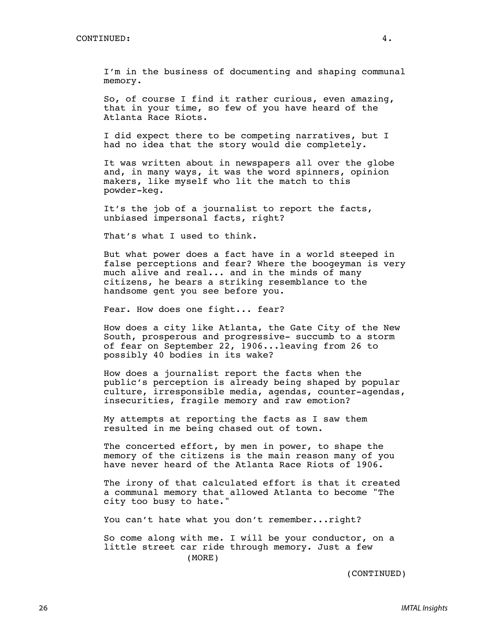I'm in the business of documenting and shaping communal memory.

So, of course I find it rather curious, even amazing, that in your time, so few of you have heard of the Atlanta Race Riots.

I did expect there to be competing narratives, but I had no idea that the story would die completely.

It was written about in newspapers all over the globe and, in many ways, it was the word spinners, opinion makers, like myself who lit the match to this powder-keg.

It's the job of a journalist to report the facts, unbiased impersonal facts, right?

That's what I used to think.

But what power does a fact have in a world steeped in false perceptions and fear? Where the boogeyman is very much alive and real... and in the minds of many citizens, he bears a striking resemblance to the handsome gent you see before you.

Fear. How does one fight... fear?

How does a city like Atlanta, the Gate City of the New South, prosperous and progressive- succumb to a storm of fear on September 22, 1906...leaving from 26 to possibly 40 bodies in its wake?

How does a journalist report the facts when the public's perception is already being shaped by popular culture, irresponsible media, agendas, counter-agendas, insecurities, fragile memory and raw emotion?

My attempts at reporting the facts as I saw them resulted in me being chased out of town.

The concerted effort, by men in power, to shape the memory of the citizens is the main reason many of you have never heard of the Atlanta Race Riots of 1906.

The irony of that calculated effort is that it created a communal memory that allowed Atlanta to become "The city too busy to hate."

You can't hate what you don't remember...right?

So come along with me. I will be your conductor, on a little street car ride through memory. Just a few (MORE)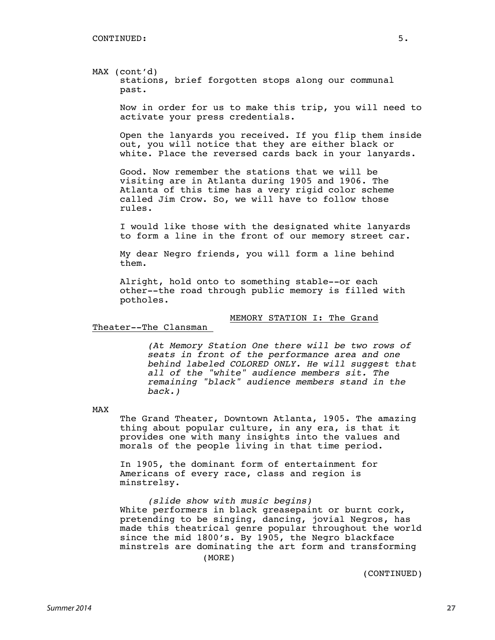#### MAX (cont'd) stations, brief forgotten stops along our communal past.

Now in order for us to make this trip, you will need to activate your press credentials.

Open the lanyards you received. If you flip them inside out, you will notice that they are either black or white. Place the reversed cards back in your lanyards.

Good. Now remember the stations that we will be visiting are in Atlanta during 1905 and 1906. The Atlanta of this time has a very rigid color scheme called Jim Crow. So, we will have to follow those rules.

I would like those with the designated white lanyards to form a line in the front of our memory street car.

My dear Negro friends, you will form a line behind them.

Alright, hold onto to something stable--or each other--the road through public memory is filled with potholes.

MEMORY STATION I: The Grand

Theater--The Clansman

*(At Memory Station One there will be two rows of seats in front of the performance area and one behind labeled COLORED ONLY. He will suggest that all of the "white" audience members sit. The remaining "black" audience members stand in the back.)*

MAX

The Grand Theater, Downtown Atlanta, 1905. The amazing thing about popular culture, in any era, is that it provides one with many insights into the values and morals of the people living in that time period.

In 1905, the dominant form of entertainment for Americans of every race, class and region is minstrelsy.

*(slide show with music begins)* White performers in black greasepaint or burnt cork, pretending to be singing, dancing, jovial Negros, has made this theatrical genre popular throughout the world since the mid 1800's. By 1905, the Negro blackface minstrels are dominating the art form and transforming (MORE)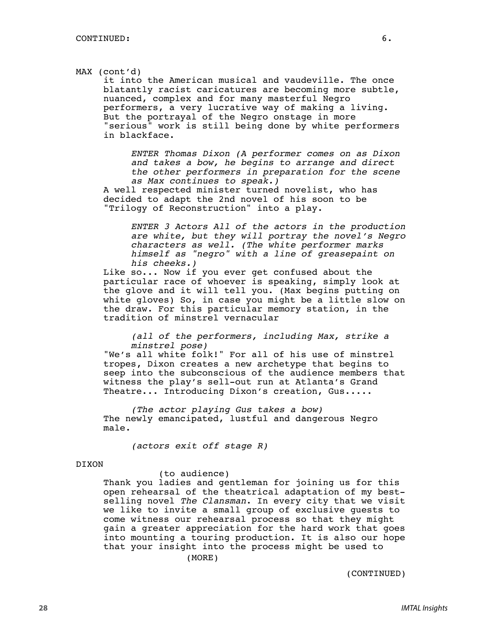#### MAX (cont'd)

it into the American musical and vaudeville. The once blatantly racist caricatures are becoming more subtle, nuanced, complex and for many masterful Negro performers, a very lucrative way of making a living. But the portrayal of the Negro onstage in more "serious" work is still being done by white performers in blackface.

*ENTER Thomas Dixon (A performer comes on as Dixon and takes a bow, he begins to arrange and direct the other performers in preparation for the scene as Max continues to speak.)*

A well respected minister turned novelist, who has decided to adapt the 2nd novel of his soon to be "Trilogy of Reconstruction" into a play.

> *ENTER 3 Actors All of the actors in the production are white, but they will portray the novel's Negro characters as well. (The white performer marks himself as "negro" with a line of greasepaint on his cheeks.)*

Like so... Now if you ever get confused about the particular race of whoever is speaking, simply look at the glove and it will tell you. (Max begins putting on white gloves) So, in case you might be a little slow on the draw. For this particular memory station, in the tradition of minstrel vernacular

*(all of the performers, including Max, strike a minstrel pose)*

"We's all white folk!" For all of his use of minstrel tropes, Dixon creates a new archetype that begins to seep into the subconscious of the audience members that witness the play's sell-out run at Atlanta's Grand Theatre... Introducing Dixon's creation, Gus.....

*(The actor playing Gus takes a bow)* The newly emancipated, lustful and dangerous Negro male.

*(actors exit off stage R)*

#### DIXON

#### (to audience)

Thank you ladies and gentleman for joining us for this open rehearsal of the theatrical adaptation of my bestselling novel *The Clansman*. In every city that we visit we like to invite a small group of exclusive guests to come witness our rehearsal process so that they might gain a greater appreciation for the hard work that goes into mounting a touring production. It is also our hope that your insight into the process might be used to (MORE)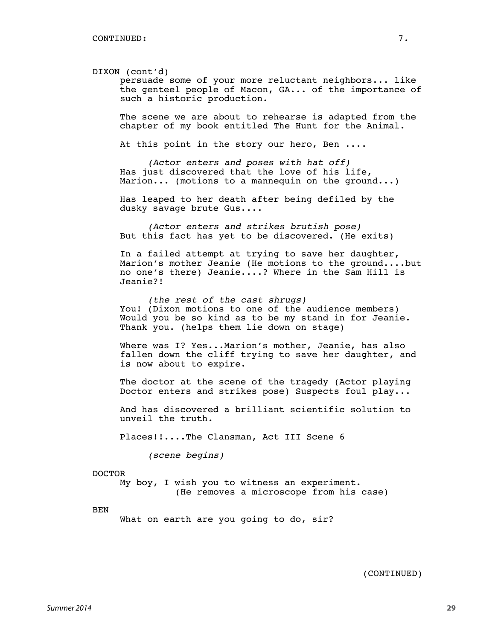#### DIXON (cont'd)

persuade some of your more reluctant neighbors... like the genteel people of Macon, GA... of the importance of such a historic production.

The scene we are about to rehearse is adapted from the chapter of my book entitled The Hunt for the Animal.

At this point in the story our hero, Ben ....

*(Actor enters and poses with hat off)* Has just discovered that the love of his life, Marion... (motions to a mannequin on the ground...)

Has leaped to her death after being defiled by the dusky savage brute Gus....

*(Actor enters and strikes brutish pose)* But this fact has yet to be discovered. (He exits)

In a failed attempt at trying to save her daughter, Marion's mother Jeanie (He motions to the ground....but no one's there) Jeanie....? Where in the Sam Hill is Jeanie?!

*(the rest of the cast shrugs)* You! (Dixon motions to one of the audience members) Would you be so kind as to be my stand in for Jeanie. Thank you. (helps them lie down on stage)

Where was I? Yes...Marion's mother, Jeanie, has also fallen down the cliff trying to save her daughter, and is now about to expire.

The doctor at the scene of the tragedy (Actor playing Doctor enters and strikes pose) Suspects foul play...

And has discovered a brilliant scientific solution to unveil the truth.

Places!!....The Clansman, Act III Scene 6

*(scene begins)*

#### DOCTOR

My boy, I wish you to witness an experiment. (He removes a microscope from his case)

BEN

What on earth are you going to do, sir?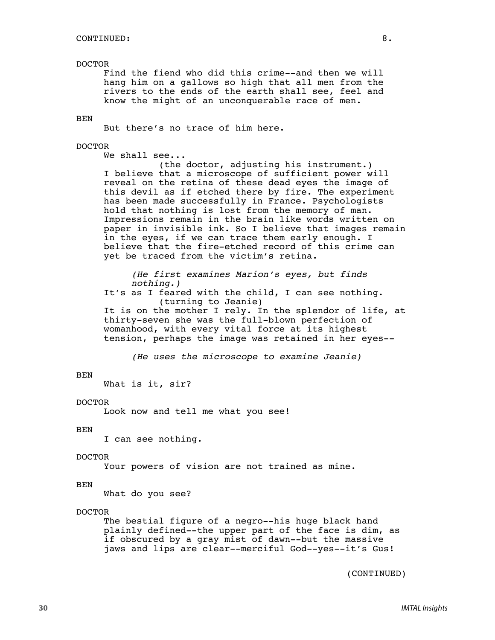#### DOCTOR

Find the fiend who did this crime--and then we will hang him on a gallows so high that all men from the rivers to the ends of the earth shall see, feel and know the might of an unconquerable race of men.

BEN

But there's no trace of him here.

#### DOCTOR

We shall see...

(the doctor, adjusting his instrument.) I believe that a microscope of sufficient power will reveal on the retina of these dead eyes the image of this devil as if etched there by fire. The experiment has been made successfully in France. Psychologists hold that nothing is lost from the memory of man. Impressions remain in the brain like words written on paper in invisible ink. So I believe that images remain in the eyes, if we can trace them early enough. I believe that the fire-etched record of this crime can yet be traced from the victim's retina.

*(He first examines Marion's eyes, but finds nothing.)*

It's as I feared with the child, I can see nothing. (turning to Jeanie)

It is on the mother I rely. In the splendor of life, at thirty-seven she was the full-blown perfection of womanhood, with every vital force at its highest tension, perhaps the image was retained in her eyes--

*(He uses the microscope to examine Jeanie)*

#### BEN

What is it, sir?

#### DOCTOR

Look now and tell me what you see!

#### BEN

I can see nothing.

#### DOCTOR

Your powers of vision are not trained as mine.

#### BEN

What do you see?

#### DOCTOR

The bestial figure of a negro--his huge black hand plainly defined--the upper part of the face is dim, as if obscured by a gray mist of dawn--but the massive jaws and lips are clear--merciful God--yes--it's Gus!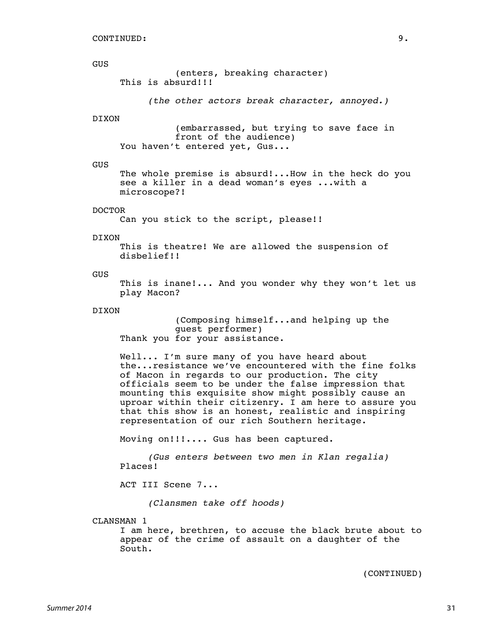#### GUS

(enters, breaking character) This is absurd!!!

*(the other actors break character, annoyed.)*

#### DIXON

(embarrassed, but trying to save face in front of the audience) You haven't entered yet, Gus...

#### GUS

The whole premise is absurd!...How in the heck do you see a killer in a dead woman's eyes ...with a microscope?!

#### DOCTOR

Can you stick to the script, please!!

#### DIXON

This is theatre! We are allowed the suspension of disbelief!!

#### GUS

This is inane!... And you wonder why they won't let us play Macon?

#### DIXON

(Composing himself...and helping up the guest performer) Thank you for your assistance.

Well... I'm sure many of you have heard about the...resistance we've encountered with the fine folks of Macon in regards to our production. The city officials seem to be under the false impression that mounting this exquisite show might possibly cause an uproar within their citizenry. I am here to assure you that this show is an honest, realistic and inspiring representation of our rich Southern heritage.

Moving on!!!.... Gus has been captured.

*(Gus enters between two men in Klan regalia)* Places!

ACT III Scene 7...

*(Clansmen take off hoods)*

CLANSMAN 1

I am here, brethren, to accuse the black brute about to appear of the crime of assault on a daughter of the South.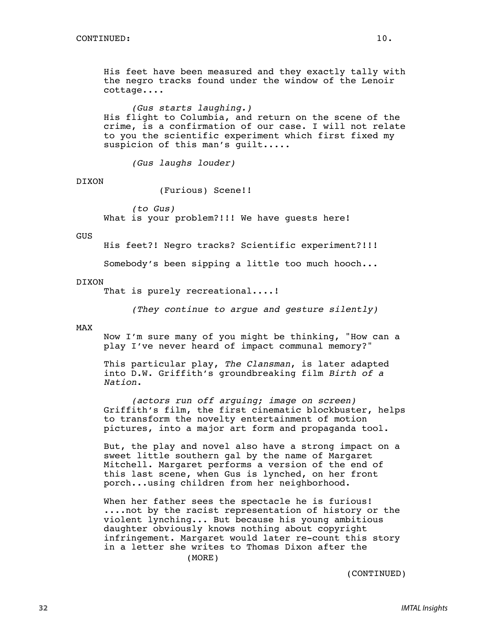His feet have been measured and they exactly tally with the negro tracks found under the window of the Lenoir cottage....

*(Gus starts laughing.)* His flight to Columbia, and return on the scene of the crime, is a confirmation of our case. I will not relate to you the scientific experiment which first fixed my suspicion of this man's quilt.....

*(Gus laughs louder)*

DIXON

(Furious) Scene!!

*(to Gus)* What is your problem?!!! We have guests here!

#### GUS

His feet?! Negro tracks? Scientific experiment?!!!

Somebody's been sipping a little too much hooch...

#### DIXON

That is purely recreational....!

*(They continue to argue and gesture silently)*

#### MAX

Now I'm sure many of you might be thinking, "How can a play I've never heard of impact communal memory?"

This particular play, *The Clansman*, is later adapted into D.W. Griffith's groundbreaking film *Birth of a Nation*.

*(actors run off arguing; image on screen)* Griffith's film, the first cinematic blockbuster, helps to transform the novelty entertainment of motion pictures, into a major art form and propaganda tool.

But, the play and novel also have a strong impact on a sweet little southern gal by the name of Margaret Mitchell. Margaret performs a version of the end of this last scene, when Gus is lynched, on her front porch...using children from her neighborhood.

When her father sees the spectacle he is furious! ....not by the racist representation of history or the violent lynching... But because his young ambitious daughter obviously knows nothing about copyright infringement. Margaret would later re-count this story in a letter she writes to Thomas Dixon after the (MORE)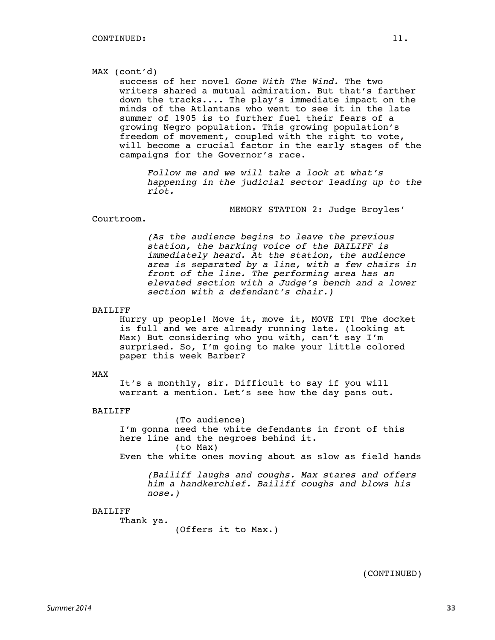#### MAX (cont'd)

success of her novel *Gone With The Wind*. The two writers shared a mutual admiration. But that's farther down the tracks.... The play's immediate impact on the minds of the Atlantans who went to see it in the late summer of 1905 is to further fuel their fears of a growing Negro population. This growing population's freedom of movement, coupled with the right to vote, will become a crucial factor in the early stages of the campaigns for the Governor's race.

*Follow me and we will take a look at what's happening in the judicial sector leading up to the riot.*

#### MEMORY STATION 2: Judge Broyles'

#### Courtroom.

*(As the audience begins to leave the previous station, the barking voice of the BAILIFF is immediately heard. At the station, the audience area is separated by a line, with a few chairs in front of the line. The performing area has an elevated section with a Judge's bench and a lower section with a defendant's chair.)*

#### BAILIFF

Hurry up people! Move it, move it, MOVE IT! The docket is full and we are already running late. (looking at Max) But considering who you with, can't say I'm surprised. So, I'm going to make your little colored paper this week Barber?

#### MAX

It's a monthly, sir. Difficult to say if you will warrant a mention. Let's see how the day pans out.

#### BAILIFF

(To audience) I'm gonna need the white defendants in front of this here line and the negroes behind it. (to Max) Even the white ones moving about as slow as field hands

*(Bailiff laughs and coughs. Max stares and offers him a handkerchief. Bailiff coughs and blows his nose.)*

#### BAILIFF

Thank ya.

(Offers it to Max.)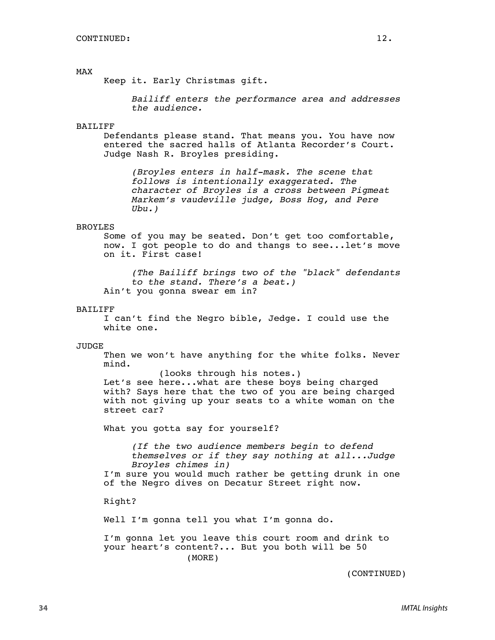#### MAX

Keep it. Early Christmas gift.

*Bailiff enters the performance area and addresses the audience.*

#### BAILIFF

Defendants please stand. That means you. You have now entered the sacred halls of Atlanta Recorder's Court. Judge Nash R. Broyles presiding.

*(Broyles enters in half-mask. The scene that follows is intentionally exaggerated. The character of Broyles is a cross between Pigmeat Markem's vaudeville judge, Boss Hog, and Pere Ubu.)*

#### BROYLES

Some of you may be seated. Don't get too comfortable, now. I got people to do and thangs to see...let's move on it. First case!

*(The Bailiff brings two of the "black" defendants to the stand. There's a beat.)* Ain't you gonna swear em in?

#### BAILIFF

I can't find the Negro bible, Jedge. I could use the white one.

#### JUDGE

Then we won't have anything for the white folks. Never mind.

(looks through his notes.) Let's see here...what are these boys being charged with? Says here that the two of you are being charged with not giving up your seats to a white woman on the street car?

What you gotta say for yourself?

*(If the two audience members begin to defend themselves or if they say nothing at all...Judge Broyles chimes in)*

I'm sure you would much rather be getting drunk in one of the Negro dives on Decatur Street right now.

Right?

Well I'm gonna tell you what I'm gonna do.

I'm gonna let you leave this court room and drink to your heart's content?... But you both will be 50 (MORE)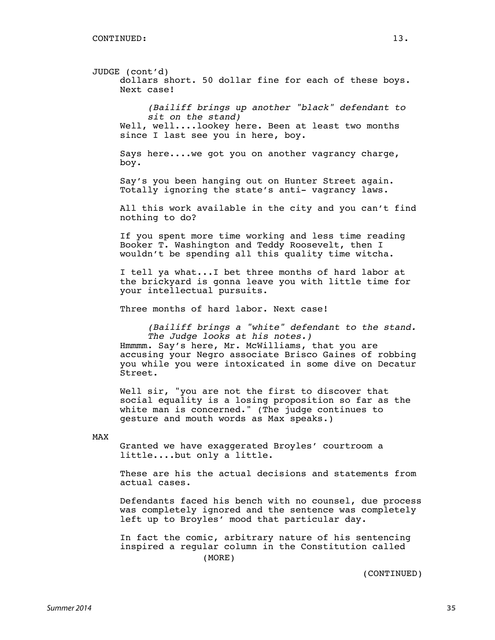JUDGE (cont'd) dollars short. 50 dollar fine for each of these boys. Next case! *(Bailiff brings up another "black" defendant to sit on the stand)* Well, well....lookey here. Been at least two months since I last see you in here, boy. Says here....we got you on another vagrancy charge, boy. Say's you been hanging out on Hunter Street again. Totally ignoring the state's anti- vagrancy laws. All this work available in the city and you can't find nothing to do? If you spent more time working and less time reading Booker T. Washington and Teddy Roosevelt, then I wouldn't be spending all this quality time witcha. I tell ya what...I bet three months of hard labor at the brickyard is gonna leave you with little time for your intellectual pursuits. Three months of hard labor. Next case! *(Bailiff brings a "white" defendant to the stand. The Judge looks at his notes.)* Hmmmm. Say's here, Mr. McWilliams, that you are accusing your Negro associate Brisco Gaines of robbing you while you were intoxicated in some dive on Decatur Street.

Well sir, "you are not the first to discover that social equality is a losing proposition so far as the white man is concerned." (The judge continues to gesture and mouth words as Max speaks.)

MAX

Granted we have exaggerated Broyles' courtroom a little....but only a little.

These are his the actual decisions and statements from actual cases.

Defendants faced his bench with no counsel, due process was completely ignored and the sentence was completely left up to Broyles' mood that particular day.

In fact the comic, arbitrary nature of his sentencing inspired a regular column in the Constitution called (MORE)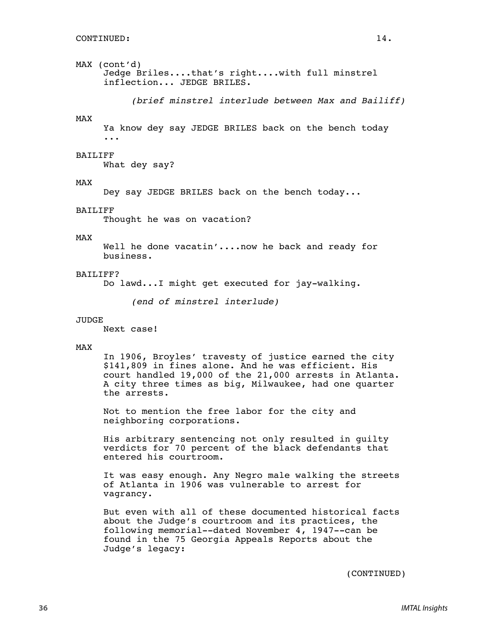#### MAX (cont'd) Jedge Briles....that's right....with full minstrel inflection... JEDGE BRILES.

*(brief minstrel interlude between Max and Bailiff)*

#### MAX

Ya know dey say JEDGE BRILES back on the bench today ...

#### BAILIFF

What dey say?

#### MAX

Dey say JEDGE BRILES back on the bench today...

#### BAILIFF

Thought he was on vacation?

#### MAX

Well he done vacatin'....now he back and ready for business.

#### BAILIFF?

Do lawd...I might get executed for jay-walking.

*(end of minstrel interlude)*

#### JUDGE

Next case!

#### MAX

In 1906, Broyles' travesty of justice earned the city \$141,809 in fines alone. And he was efficient. His court handled 19,000 of the 21,000 arrests in Atlanta. A city three times as big, Milwaukee, had one quarter the arrests.

Not to mention the free labor for the city and neighboring corporations.

His arbitrary sentencing not only resulted in guilty verdicts for 70 percent of the black defendants that entered his courtroom.

It was easy enough. Any Negro male walking the streets of Atlanta in 1906 was vulnerable to arrest for vagrancy.

But even with all of these documented historical facts about the Judge's courtroom and its practices, the following memorial--dated November 4, 1947--can be found in the 75 Georgia Appeals Reports about the Judge's legacy: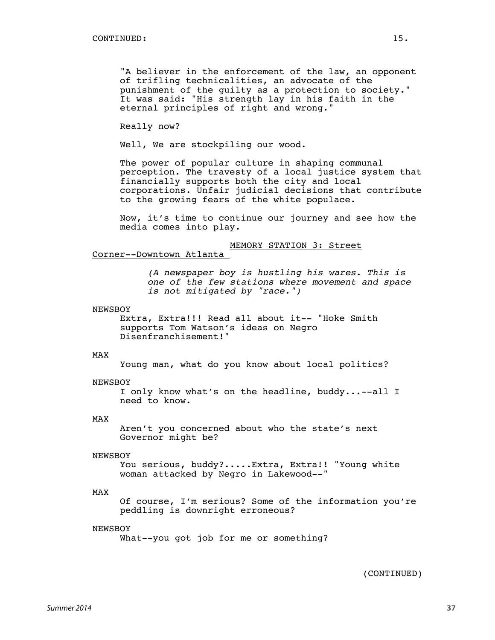"A believer in the enforcement of the law, an opponent of trifling technicalities, an advocate of the punishment of the guilty as a protection to society." It was said: "His strength lay in his faith in the eternal principles of right and wrong."

Really now?

Well, We are stockpiling our wood.

The power of popular culture in shaping communal perception. The travesty of a local justice system that financially supports both the city and local corporations. Unfair judicial decisions that contribute to the growing fears of the white populace.

Now, it's time to continue our journey and see how the media comes into play.

#### MEMORY STATION 3: Street

#### Corner--Downtown Atlanta

*(A newspaper boy is hustling his wares. This is one of the few stations where movement and space is not mitigated by "race.")*

#### NEWSBOY

Extra, Extra!!! Read all about it-- "Hoke Smith supports Tom Watson's ideas on Negro Disenfranchisement!"

#### MAX

Young man, what do you know about local politics?

#### NEWSBOY

I only know what's on the headline, buddy...--all I need to know.

#### MAX

Aren't you concerned about who the state's next Governor might be?

#### NEWSBOY

You serious, buddy?.....Extra, Extra!! "Young white woman attacked by Negro in Lakewood--"

#### MAX

Of course, I'm serious? Some of the information you're peddling is downright erroneous?

#### NEWSBOY

What--you got job for me or something?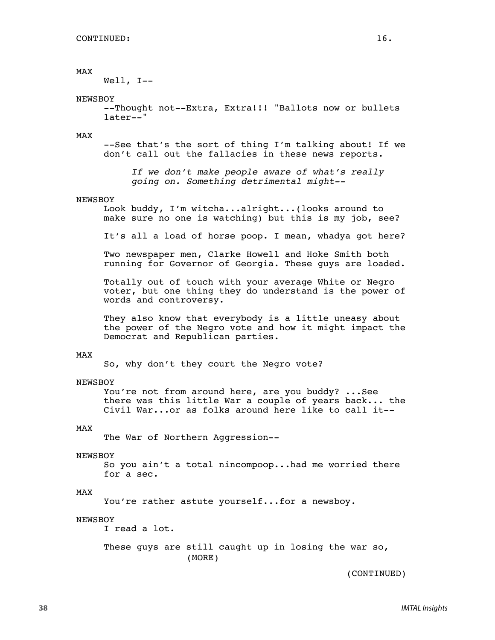#### MAX

Well, I--

#### NEWSBOY

--Thought not--Extra, Extra!!! "Ballots now or bullets later--"

#### MAX

--See that's the sort of thing I'm talking about! If we don't call out the fallacies in these news reports.

#### NEWSBOY

Look buddy, I'm witcha...alright...(looks around to make sure no one is watching) but this is my job, see?

It's all a load of horse poop. I mean, whadya got here?

Two newspaper men, Clarke Howell and Hoke Smith both running for Governor of Georgia. These guys are loaded.

Totally out of touch with your average White or Negro voter, but one thing they do understand is the power of words and controversy.

They also know that everybody is a little uneasy about the power of the Negro vote and how it might impact the Democrat and Republican parties.

#### MAX

So, why don't they court the Negro vote?

#### NEWSBOY

You're not from around here, are you buddy? ...See there was this little War a couple of years back... the Civil War...or as folks around here like to call it--

#### MAX

The War of Northern Aggression--

#### NEWSBOY

So you ain't a total nincompoop...had me worried there for a sec.

#### MAX

You're rather astute yourself...for a newsboy.

#### NEWSBOY

I read a lot.

These guys are still caught up in losing the war so, (MORE)

*If we don't make people aware of what's really going on. Something detrimental might--*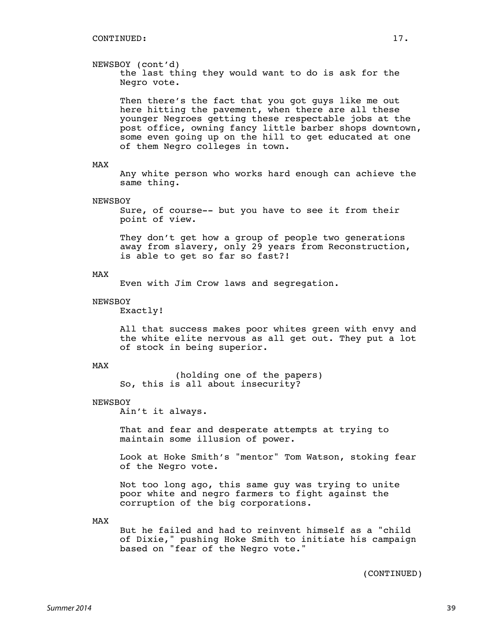#### NEWSBOY (cont'd)

the last thing they would want to do is ask for the Negro vote.

Then there's the fact that you got guys like me out here hitting the pavement, when there are all these younger Negroes getting these respectable jobs at the post office, owning fancy little barber shops downtown, some even going up on the hill to get educated at one of them Negro colleges in town.

#### MAX

Any white person who works hard enough can achieve the same thing.

#### NEWSBOY

Sure, of course-- but you have to see it from their point of view.

They don't get how a group of people two generations away from slavery, only 29 years from Reconstruction, is able to get so far so fast?!

#### MAX

Even with Jim Crow laws and segregation.

#### NEWSBOY

Exactly!

All that success makes poor whites green with envy and the white elite nervous as all get out. They put a lot of stock in being superior.

#### MAX

(holding one of the papers) So, this is all about insecurity?

#### **NEWSBOY**

Ain't it always.

That and fear and desperate attempts at trying to maintain some illusion of power.

Look at Hoke Smith's "mentor" Tom Watson, stoking fear of the Negro vote.

Not too long ago, this same guy was trying to unite poor white and negro farmers to fight against the corruption of the big corporations.

MAX

But he failed and had to reinvent himself as a "child of Dixie," pushing Hoke Smith to initiate his campaign based on "fear of the Negro vote."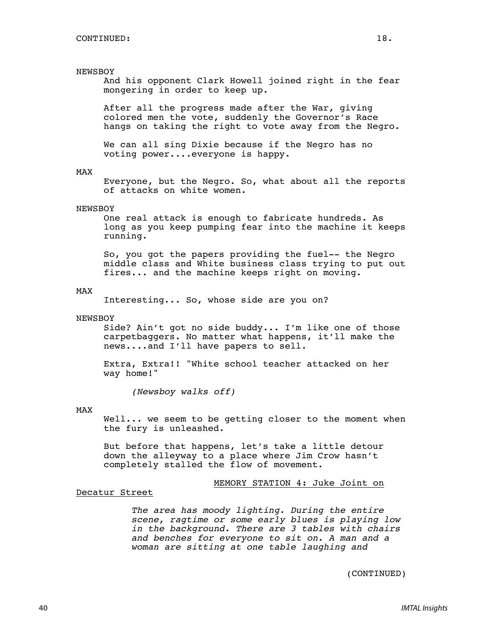#### NEWSBOY

And his opponent Clark Howell joined right in the fear mongering in order to keep up.

After all the progress made after the War, giving colored men the vote, suddenly the Governor's Race hangs on taking the right to vote away from the Negro.

We can all sing Dixie because if the Negro has no voting power....everyone is happy.

#### MAX

Everyone, but the Negro. So, what about all the reports of attacks on white women.

#### NEWSBOY

One real attack is enough to fabricate hundreds. As long as you keep pumping fear into the machine it keeps running.

So, you got the papers providing the fuel-- the Negro middle class and White business class trying to put out fires... and the machine keeps right on moving.

#### MAX

Interesting... So, whose side are you on?

#### NEWSBOY

Side? Ain't got no side buddy... I'm like one of those carpetbaggers. No matter what happens, it'll make the news....and I'll have papers to sell.

Extra, Extra!! "White school teacher attacked on her way home!"

*(Newsboy walks off)*

#### MAX

Well... we seem to be getting closer to the moment when the fury is unleashed.

But before that happens, let's take a little detour down the alleyway to a place where Jim Crow hasn't completely stalled the flow of movement.

MEMORY STATION 4: Juke Joint on

#### Decatur Street

*The area has moody lighting. During the entire scene, ragtime or some early blues is playing low in the background. There are 3 tables with chairs and benches for everyone to sit on. A man and a woman are sitting at one table laughing and*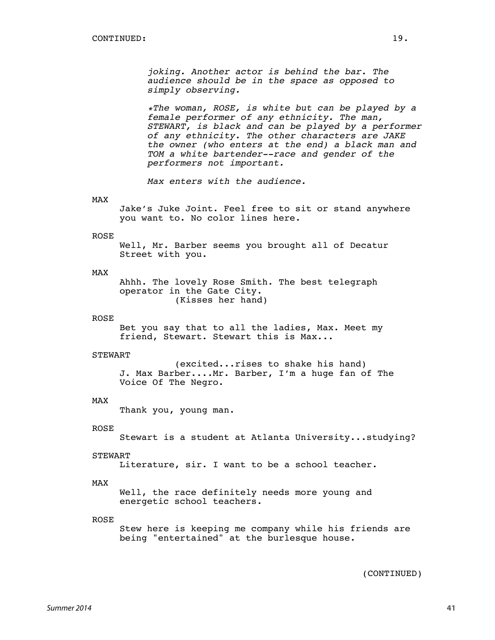*joking. Another actor is behind the bar. The audience should be in the space as opposed to simply observing.*

*\*The woman, ROSE, is white but can be played by a female performer of any ethnicity. The man, STEWART, is black and can be played by a performer of any ethnicity. The other characters are JAKE the owner (who enters at the end) a black man and TOM a white bartender--race and gender of the performers not important.*

*Max enters with the audience.*

#### MAX

Jake's Juke Joint. Feel free to sit or stand anywhere you want to. No color lines here.

#### ROSE

Well, Mr. Barber seems you brought all of Decatur Street with you.

#### MAX

Ahhh. The lovely Rose Smith. The best telegraph operator in the Gate City. (Kisses her hand)

#### ROSE

Bet you say that to all the ladies, Max. Meet my friend, Stewart. Stewart this is Max...

#### **STEWART**

(excited...rises to shake his hand) J. Max Barber....Mr. Barber, I'm a huge fan of The Voice Of The Negro.

#### MAX

Thank you, young man.

#### ROSE

Stewart is a student at Atlanta University...studying?

#### **STEWART**

Literature, sir. I want to be a school teacher.

#### MAX

Well, the race definitely needs more young and energetic school teachers.

#### ROSE

Stew here is keeping me company while his friends are being "entertained" at the burlesque house.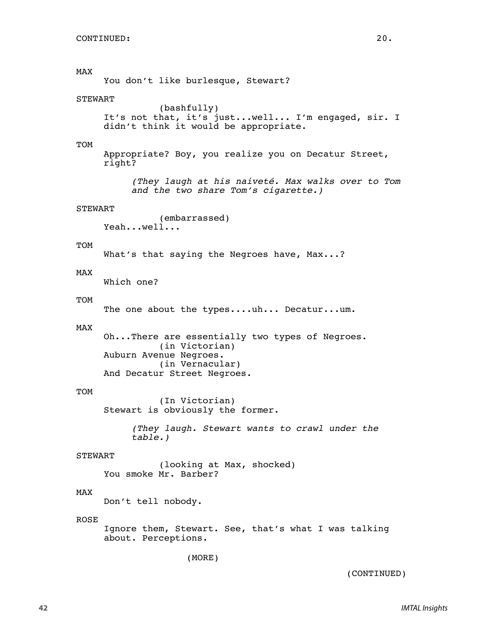MAX You don't like burlesque, Stewart? **STEWART** (bashfully) It's not that, it's just...well... I'm engaged, sir. I didn't think it would be appropriate. TOM Appropriate? Boy, you realize you on Decatur Street, right? *(They laugh at his naiveté. Max walks over to Tom and the two share Tom's cigarette.)* STEWART (embarrassed) Yeah...well... TOM What's that saying the Negroes have, Max...? MAX Which one? TOM The one about the types....uh... Decatur...um. MAX Oh...There are essentially two types of Negroes. (in Victorian) Auburn Avenue Negroes. (in Vernacular) And Decatur Street Negroes. TOM (In Victorian) Stewart is obviously the former. *(They laugh. Stewart wants to crawl under the table.)* **STEWART** (looking at Max, shocked) You smoke Mr. Barber? MAX Don't tell nobody. ROSE Ignore them, Stewart. See, that's what I was talking about. Perceptions. (MORE)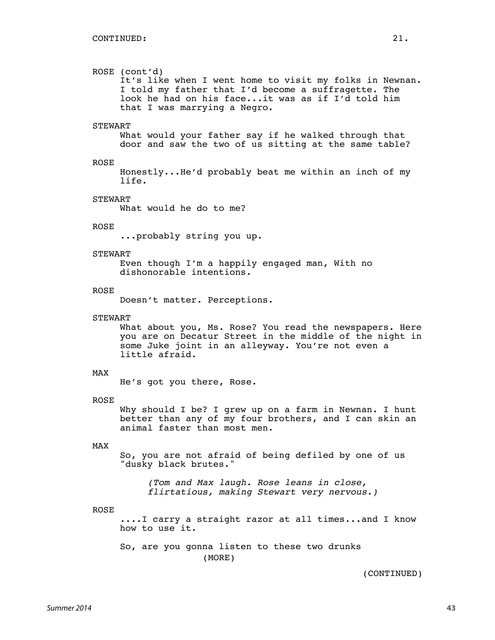#### ROSE (cont'd)

It's like when I went home to visit my folks in Newnan. I told my father that I'd become a suffragette. The look he had on his face...it was as if I'd told him that I was marrying a Negro.

#### **STEWART**

What would your father say if he walked through that door and saw the two of us sitting at the same table?

#### ROSE

Honestly...He'd probably beat me within an inch of my life.

#### **STEWART**

What would he do to me?

#### ROSE

...probably string you up.

#### STEWART

Even though I'm a happily engaged man, With no dishonorable intentions.

#### ROSE

Doesn't matter. Perceptions.

#### **STEWART**

What about you, Ms. Rose? You read the newspapers. Here you are on Decatur Street in the middle of the night in some Juke joint in an alleyway. You're not even a little afraid.

#### MAX

He's got you there, Rose.

#### ROSE

Why should I be? I grew up on a farm in Newnan. I hunt better than any of my four brothers, and I can skin an animal faster than most men.

#### MAX

So, you are not afraid of being defiled by one of us "dusky black brutes."

*(Tom and Max laugh. Rose leans in close, flirtatious, making Stewart very nervous.)*

#### ROSE

....I carry a straight razor at all times...and I know how to use it.

So, are you gonna listen to these two drunks (MORE)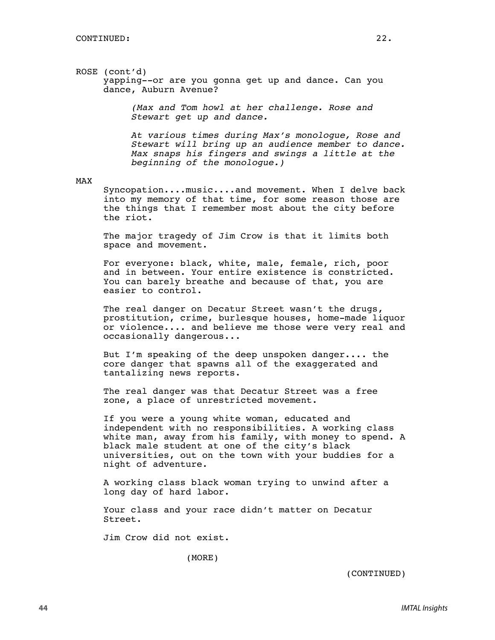#### ROSE (cont'd) yapping--or are you gonna get up and dance. Can you dance, Auburn Avenue?

*(Max and Tom howl at her challenge. Rose and Stewart get up and dance.*

*At various times during Max's monologue, Rose and Stewart will bring up an audience member to dance. Max snaps his fingers and swings a little at the beginning of the monologue.)*

#### MAX

Syncopation....music....and movement. When I delve back into my memory of that time, for some reason those are the things that I remember most about the city before the riot.

The major tragedy of Jim Crow is that it limits both space and movement.

For everyone: black, white, male, female, rich, poor and in between. Your entire existence is constricted. You can barely breathe and because of that, you are easier to control.

The real danger on Decatur Street wasn't the drugs, prostitution, crime, burlesque houses, home-made liquor or violence.... and believe me those were very real and occasionally dangerous...

But I'm speaking of the deep unspoken danger.... the core danger that spawns all of the exaggerated and tantalizing news reports.

The real danger was that Decatur Street was a free zone, a place of unrestricted movement.

If you were a young white woman, educated and independent with no responsibilities. A working class white man, away from his family, with money to spend. A black male student at one of the city's black universities, out on the town with your buddies for a night of adventure.

A working class black woman trying to unwind after a long day of hard labor.

Your class and your race didn't matter on Decatur Street.

Jim Crow did not exist.

(MORE)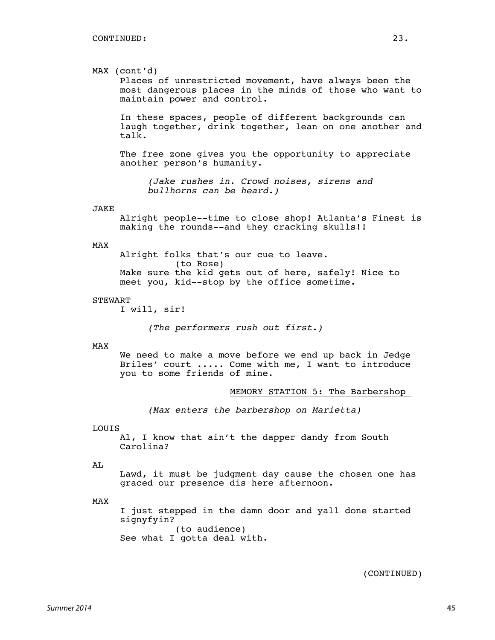#### MAX (cont'd)

Places of unrestricted movement, have always been the most dangerous places in the minds of those who want to maintain power and control.

In these spaces, people of different backgrounds can laugh together, drink together, lean on one another and talk.

The free zone gives you the opportunity to appreciate another person's humanity.

*(Jake rushes in. Crowd noises, sirens and bullhorns can be heard.)*

#### JAKE

Alright people--time to close shop! Atlanta's Finest is making the rounds--and they cracking skulls!!

#### MAX

Alright folks that's our cue to leave.

(to Rose) Make sure the kid gets out of here, safely! Nice to meet you, kid--stop by the office sometime.

#### STEWART

I will, sir!

*(The performers rush out first.)*

#### MAX

We need to make a move before we end up back in Jedge Briles' court ..... Come with me, I want to introduce you to some friends of mine.

MEMORY STATION 5: The Barbershop

*(Max enters the barbershop on Marietta)*

#### LOUIS

Al, I know that ain't the dapper dandy from South Carolina?

#### AL

Lawd, it must be judgment day cause the chosen one has graced our presence dis here afternoon.

#### MAX

I just stepped in the damn door and yall done started signyfyin? (to audience) See what I gotta deal with.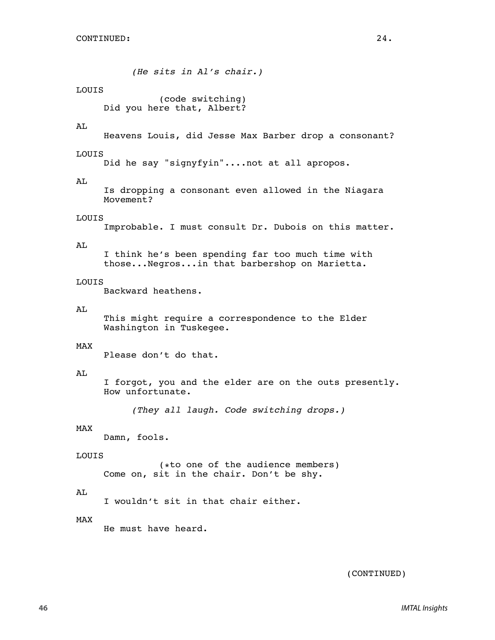*(He sits in Al's chair.)*

#### LOUIS

(code switching) Did you here that, Albert?

#### A<sub>L</sub>

```
Heavens Louis, did Jesse Max Barber drop a consonant?
```
#### LOUIS

Did he say "signyfyin"....not at all apropos.

#### AL

Is dropping a consonant even allowed in the Niagara Movement?

#### LOUIS

Improbable. I must consult Dr. Dubois on this matter.

#### AL

I think he's been spending far too much time with those...Negros...in that barbershop on Marietta.

#### LOUIS

Backward heathens.

#### AL

This might require a correspondence to the Elder Washington in Tuskegee.

#### MAX

Please don't do that.

#### AL

I forgot, you and the elder are on the outs presently. How unfortunate.

*(They all laugh. Code switching drops.)*

#### MAX

Damn, fools.

#### LOUIS

(\*to one of the audience members) Come on, sit in the chair. Don't be shy.

#### AL

I wouldn't sit in that chair either.

#### MAX

He must have heard.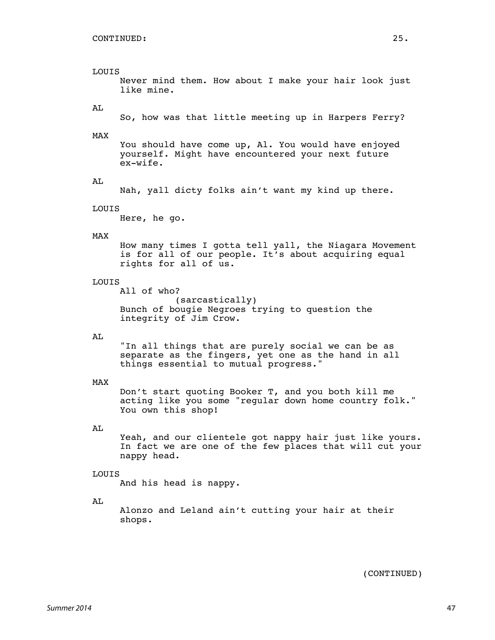### LOUIS

Never mind them. How about I make your hair look just like mine.

#### AL

So, how was that little meeting up in Harpers Ferry?

#### MAX

You should have come up, Al. You would have enjoyed yourself. Might have encountered your next future ex-wife.

#### AL

Nah, yall dicty folks ain't want my kind up there.

#### LOUIS

Here, he go.

#### MAX

How many times I gotta tell yall, the Niagara Movement is for all of our people. It's about acquiring equal rights for all of us.

#### LOUIS

All of who? (sarcastically) Bunch of bougie Negroes trying to question the integrity of Jim Crow.

#### AL

"In all things that are purely social we can be as separate as the fingers, yet one as the hand in all things essential to mutual progress."

#### MAX

Don't start quoting Booker T, and you both kill me acting like you some "regular down home country folk." You own this shop!

#### AL

Yeah, and our clientele got nappy hair just like yours. In fact we are one of the few places that will cut your nappy head.

#### LOUIS

And his head is nappy.

#### AL

Alonzo and Leland ain't cutting your hair at their shops.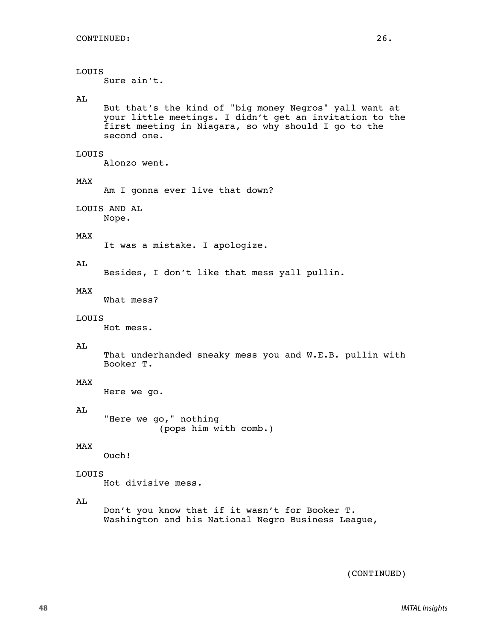#### LOUIS

Sure ain't.

#### AL

But that's the kind of "big money Negros" yall want at your little meetings. I didn't get an invitation to the first meeting in Niagara, so why should I go to the second one.

#### LOUIS

Alonzo went.

#### MAX

Am I gonna ever live that down?

LOUIS AND AL

Nope.

### MAX

It was a mistake. I apologize.

#### AL

Besides, I don't like that mess yall pullin.

#### MAX

What mess?

#### LOUIS

Hot mess.

#### AL

That underhanded sneaky mess you and W.E.B. pullin with Booker T.

#### MAX

Here we go.

#### AL

"Here we go," nothing (pops him with comb.)

#### MAX

Ouch!

#### LOUIS

Hot divisive mess.

#### AL

Don't you know that if it wasn't for Booker T. Washington and his National Negro Business League,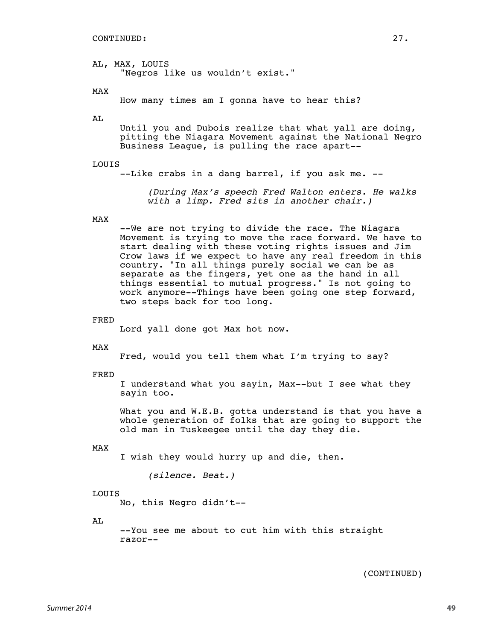AL, MAX, LOUIS "Negros like us wouldn't exist."

MAX

How many times am I gonna have to hear this?

AL

Until you and Dubois realize that what yall are doing, pitting the Niagara Movement against the National Negro Business League, is pulling the race apart--

#### LOUIS

--Like crabs in a dang barrel, if you ask me. --

*(During Max's speech Fred Walton enters. He walks with a limp. Fred sits in another chair.)*

#### MAX

--We are not trying to divide the race. The Niagara Movement is trying to move the race forward. We have to start dealing with these voting rights issues and Jim Crow laws if we expect to have any real freedom in this country. "In all things purely social we can be as separate as the fingers, yet one as the hand in all things essential to mutual progress." Is not going to work anymore--Things have been going one step forward, two steps back for too long.

FRED

Lord yall done got Max hot now.

MAX

Fred, would you tell them what I'm trying to say?

FRED

I understand what you sayin, Max--but I see what they sayin too.

What you and W.E.B. gotta understand is that you have a whole generation of folks that are going to support the old man in Tuskeegee until the day they die.

#### MAX

I wish they would hurry up and die, then.

*(silence. Beat.)*

#### LOUIS

No, this Negro didn't--

AL

--You see me about to cut him with this straight razor--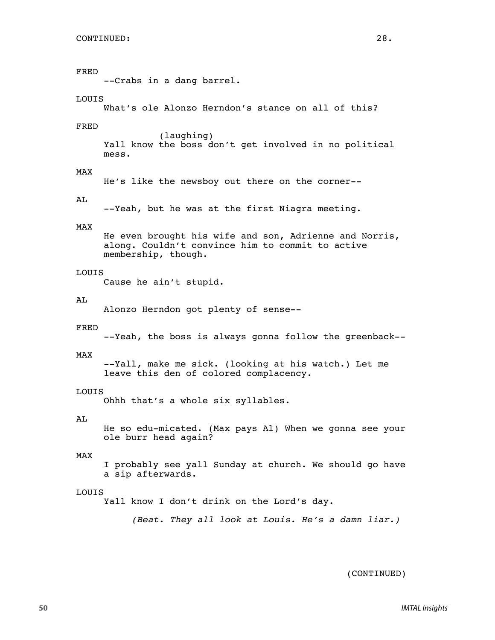#### FRED

--Crabs in a dang barrel.

#### LOUIS

What's ole Alonzo Herndon's stance on all of this?

#### FRED

(laughing) Yall know the boss don't get involved in no political mess.

#### MAX

He's like the newsboy out there on the corner--

#### AL

--Yeah, but he was at the first Niagra meeting.

#### MAX

He even brought his wife and son, Adrienne and Norris, along. Couldn't convince him to commit to active membership, though.

#### LOUIS

Cause he ain't stupid.

#### AL

Alonzo Herndon got plenty of sense--

#### FRED

--Yeah, the boss is always gonna follow the greenback--

#### MAX

--Yall, make me sick. (looking at his watch.) Let me leave this den of colored complacency.

#### LOUIS

Ohhh that's a whole six syllables.

#### AL

He so edu-micated. (Max pays Al) When we gonna see your ole burr head again?

#### MAX

I probably see yall Sunday at church. We should go have a sip afterwards.

#### LOUIS

Yall know I don't drink on the Lord's day.

*(Beat. They all look at Louis. He's a damn liar.)*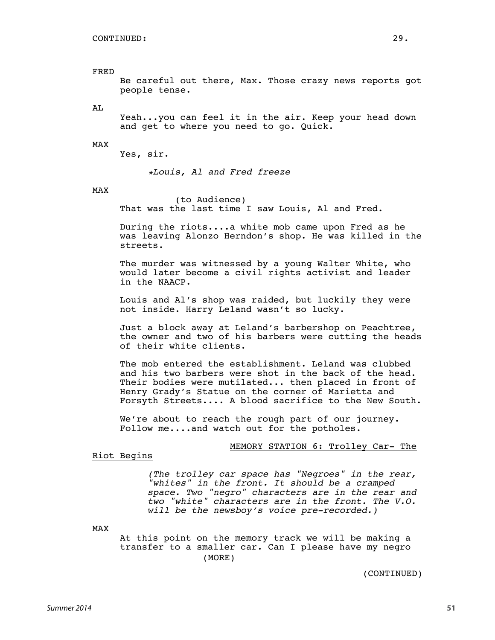FRED Be careful out there, Max. Those crazy news reports got people tense.

AL

Yeah...you can feel it in the air. Keep your head down and get to where you need to go. Quick.

#### MAX

Yes, sir.

*\*Louis, Al and Fred freeze*

MAX

(to Audience) That was the last time I saw Louis, Al and Fred.

During the riots....a white mob came upon Fred as he was leaving Alonzo Herndon's shop. He was killed in the streets.

The murder was witnessed by a young Walter White, who would later become a civil rights activist and leader in the NAACP.

Louis and Al's shop was raided, but luckily they were not inside. Harry Leland wasn't so lucky.

Just a block away at Leland's barbershop on Peachtree, the owner and two of his barbers were cutting the heads of their white clients.

The mob entered the establishment. Leland was clubbed and his two barbers were shot in the back of the head. Their bodies were mutilated... then placed in front of Henry Grady's Statue on the corner of Marietta and Forsyth Streets.... A blood sacrifice to the New South.

We're about to reach the rough part of our journey. Follow me....and watch out for the potholes.

#### MEMORY STATION 6: Trolley Car- The

Riot Begins

*(The trolley car space has "Negroes" in the rear, "whites" in the front. It should be a cramped space. Two "negro" characters are in the rear and two "white" characters are in the front. The V.O. will be the newsboy's voice pre-recorded.)*

MAX

At this point on the memory track we will be making a transfer to a smaller car. Can I please have my negro (MORE)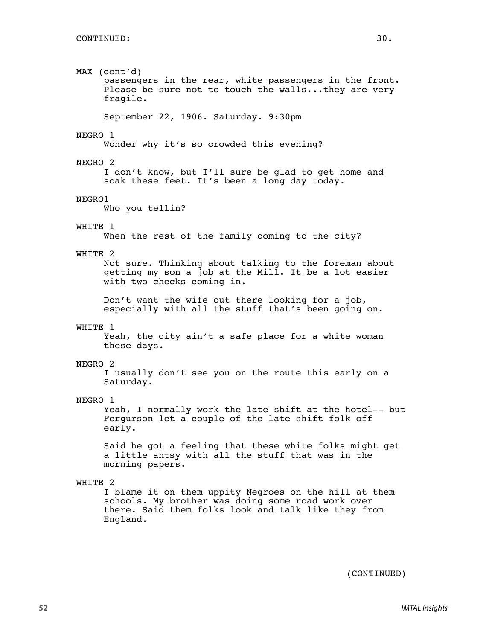MAX (cont'd) passengers in the rear, white passengers in the front. Please be sure not to touch the walls...they are very fragile. September 22, 1906. Saturday. 9:30pm NEGRO 1 Wonder why it's so crowded this evening? NEGRO 2 I don't know, but I'll sure be glad to get home and soak these feet. It's been a long day today. NEGRO1 Who you tellin? WHITE 1 When the rest of the family coming to the city? WHITE 2 Not sure. Thinking about talking to the foreman about getting my son a job at the Mill. It be a lot easier with two checks coming in. Don't want the wife out there looking for a job, especially with all the stuff that's been going on. WHITE 1 Yeah, the city ain't a safe place for a white woman these days. NEGRO 2 I usually don't see you on the route this early on a Saturday. NEGRO 1 Yeah, I normally work the late shift at the hotel-- but Fergurson let a couple of the late shift folk off early. Said he got a feeling that these white folks might get a little antsy with all the stuff that was in the morning papers. WHITE 2 I blame it on them uppity Negroes on the hill at them schools. My brother was doing some road work over there. Said them folks look and talk like they from England.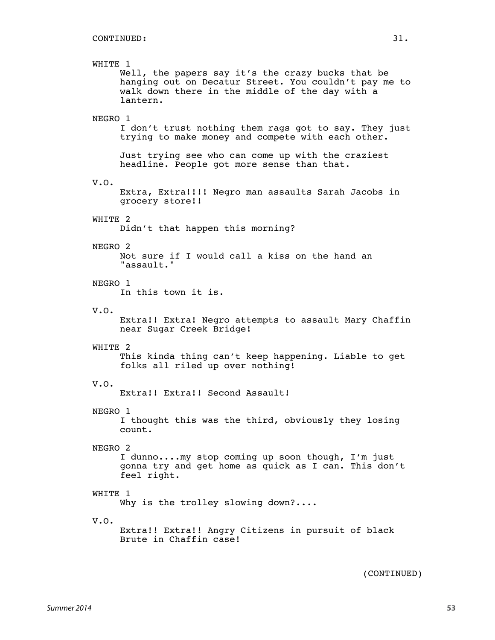### WHITE 1 Well, the papers say it's the crazy bucks that be hanging out on Decatur Street. You couldn't pay me to walk down there in the middle of the day with a lantern. NEGRO 1 I don't trust nothing them rags got to say. They just trying to make money and compete with each other. Just trying see who can come up with the craziest headline. People got more sense than that. V.O. Extra, Extra!!!! Negro man assaults Sarah Jacobs in grocery store!! WHITE 2 Didn't that happen this morning? NEGRO 2 Not sure if I would call a kiss on the hand an "assault." NEGRO 1 In this town it is. V.O. Extra!! Extra! Negro attempts to assault Mary Chaffin near Sugar Creek Bridge! WHITE 2 This kinda thing can't keep happening. Liable to get folks all riled up over nothing! V.O. Extra!! Extra!! Second Assault! NEGRO 1 I thought this was the third, obviously they losing count. NEGRO 2 I dunno....my stop coming up soon though, I'm just gonna try and get home as quick as I can. This don't feel right. WHITE 1 Why is the trolley slowing down?.... V.O. Extra!! Extra!! Angry Citizens in pursuit of black Brute in Chaffin case!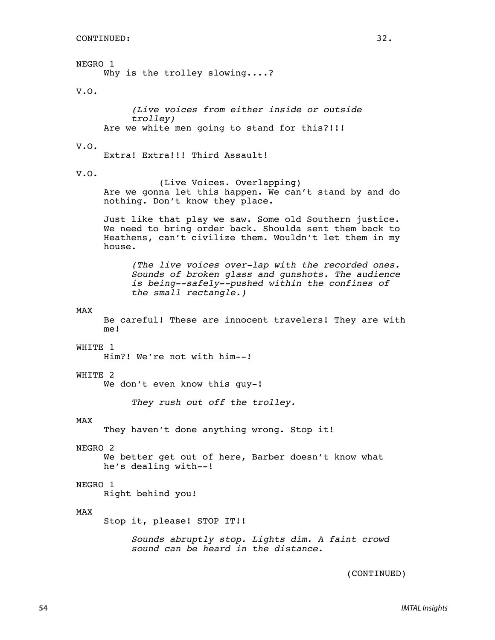NEGRO 1

Why is the trolley slowing....?

V.O.

*(Live voices from either inside or outside trolley)* Are we white men going to stand for this?!!!

V.O.

Extra! Extra!!! Third Assault!

V.O.

(Live Voices. Overlapping) Are we gonna let this happen. We can't stand by and do nothing. Don't know they place.

Just like that play we saw. Some old Southern justice. We need to bring order back. Shoulda sent them back to Heathens, can't civilize them. Wouldn't let them in my house.

*(The live voices over-lap with the recorded ones. Sounds of broken glass and gunshots. The audience is being--safely--pushed within the confines of the small rectangle.)*

#### MAX

Be careful! These are innocent travelers! They are with me!

WHITE 1

Him?! We're not with him--!

#### WHITE 2

We don't even know this quy-!

*They rush out off the trolley.*

#### MAX

They haven't done anything wrong. Stop it!

#### NEGRO 2

We better get out of here, Barber doesn't know what he's dealing with--!

#### NEGRO 1

Right behind you!

#### MAX

Stop it, please! STOP IT!!

*Sounds abruptly stop. Lights dim. A faint crowd sound can be heard in the distance.*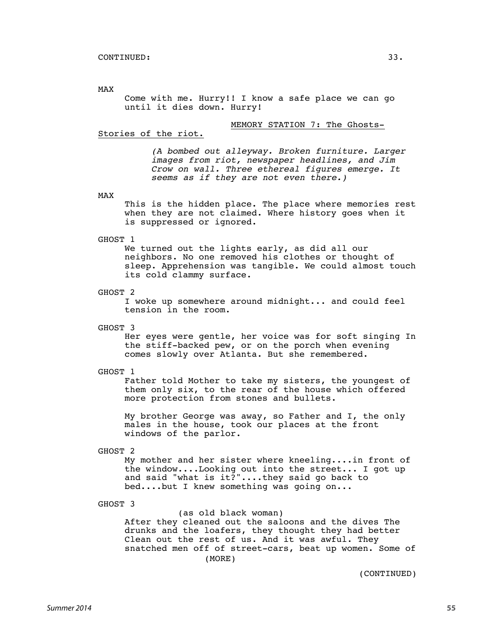MAX

Come with me. Hurry!! I know a safe place we can go until it dies down. Hurry!

#### MEMORY STATION 7: The Ghosts-

#### Stories of the riot.

*(A bombed out alleyway. Broken furniture. Larger images from riot, newspaper headlines, and Jim Crow on wall. Three ethereal figures emerge. It seems as if they are not even there.)*

#### MAX

This is the hidden place. The place where memories rest when they are not claimed. Where history goes when it is suppressed or ignored.

#### GHOST 1

We turned out the lights early, as did all our neighbors. No one removed his clothes or thought of sleep. Apprehension was tangible. We could almost touch its cold clammy surface.

#### GHOST 2

I woke up somewhere around midnight... and could feel tension in the room.

GHOST 3

Her eyes were gentle, her voice was for soft singing In the stiff-backed pew, or on the porch when evening comes slowly over Atlanta. But she remembered.

#### GHOST 1

Father told Mother to take my sisters, the youngest of them only six, to the rear of the house which offered more protection from stones and bullets.

My brother George was away, so Father and I, the only males in the house, took our places at the front windows of the parlor.

#### GHOST 2

My mother and her sister where kneeling....in front of the window....Looking out into the street... I got up and said "what is it?"....they said go back to bed....but I knew something was going on...

#### GHOST 3

(as old black woman) After they cleaned out the saloons and the dives The drunks and the loafers, they thought they had better Clean out the rest of us. And it was awful. They snatched men off of street-cars, beat up women. Some of (MORE)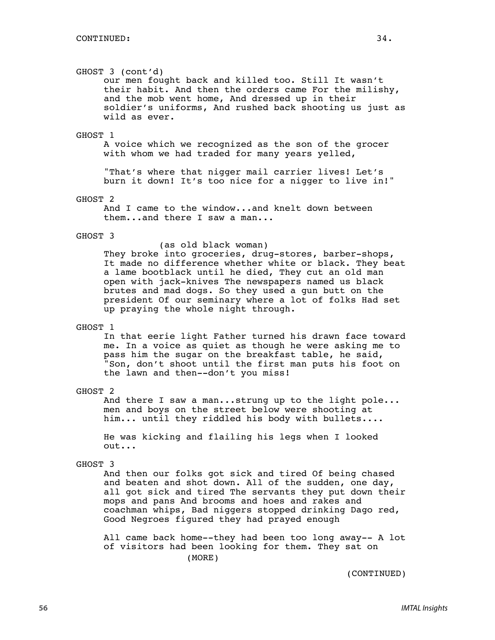#### GHOST 3 (cont'd)

our men fought back and killed too. Still It wasn't their habit. And then the orders came For the milishy, and the mob went home, And dressed up in their soldier's uniforms, And rushed back shooting us just as wild as ever.

#### GHOST 1

A voice which we recognized as the son of the grocer with whom we had traded for many years yelled,

"That's where that nigger mail carrier lives! Let's burn it down! It's too nice for a nigger to live in!"

#### GHOST 2

And I came to the window...and knelt down between them...and there I saw a man...

#### GHOST 3

#### (as old black woman)

They broke into groceries, drug-stores, barber-shops, It made no difference whether white or black. They beat a lame bootblack until he died, They cut an old man open with jack-knives The newspapers named us black brutes and mad dogs. So they used a gun butt on the president Of our seminary where a lot of folks Had set up praying the whole night through.

#### GHOST 1

In that eerie light Father turned his drawn face toward me. In a voice as quiet as though he were asking me to pass him the sugar on the breakfast table, he said, "Son, don't shoot until the first man puts his foot on the lawn and then--don't you miss!

#### GHOST 2

And there I saw a man...strung up to the light pole... men and boys on the street below were shooting at him... until they riddled his body with bullets....

He was kicking and flailing his legs when I looked out...

#### GHOST 3

And then our folks got sick and tired Of being chased and beaten and shot down. All of the sudden, one day, all got sick and tired The servants they put down their mops and pans And brooms and hoes and rakes and coachman whips, Bad niggers stopped drinking Dago red, Good Negroes figured they had prayed enough

All came back home--they had been too long away-- A lot of visitors had been looking for them. They sat on (MORE)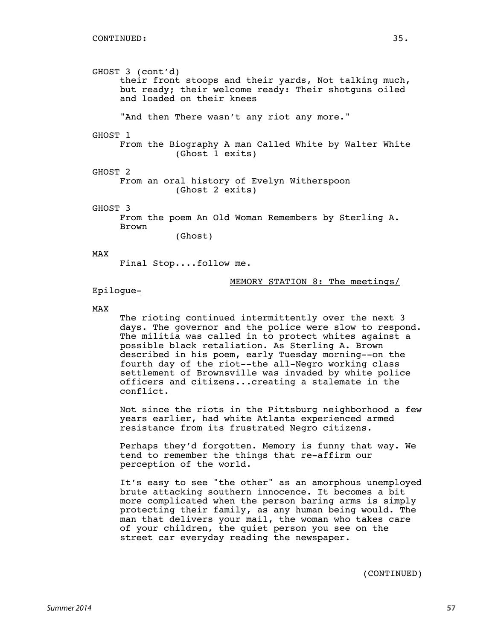GHOST 3 (cont'd) their front stoops and their yards, Not talking much, but ready; their welcome ready: Their shotguns oiled and loaded on their knees "And then There wasn't any riot any more." GHOST 1 From the Biography A man Called White by Walter White (Ghost 1 exits) GHOST 2 From an oral history of Evelyn Witherspoon (Ghost 2 exits) GHOST 3 From the poem An Old Woman Remembers by Sterling A. Brown (Ghost) MAX Final Stop....follow me.

#### MEMORY STATION 8: The meetings/

### Epilogue-

#### MAX

The rioting continued intermittently over the next 3 days. The governor and the police were slow to respond. The militia was called in to protect whites against a possible black retaliation. As Sterling A. Brown described in his poem, early Tuesday morning--on the fourth day of the riot--the all-Negro working class settlement of Brownsville was invaded by white police officers and citizens...creating a stalemate in the conflict.

Not since the riots in the Pittsburg neighborhood a few years earlier, had white Atlanta experienced armed resistance from its frustrated Negro citizens.

Perhaps they'd forgotten. Memory is funny that way. We tend to remember the things that re-affirm our perception of the world.

It's easy to see "the other" as an amorphous unemployed brute attacking southern innocence. It becomes a bit more complicated when the person baring arms is simply protecting their family, as any human being would. The man that delivers your mail, the woman who takes care of your children, the quiet person you see on the street car everyday reading the newspaper.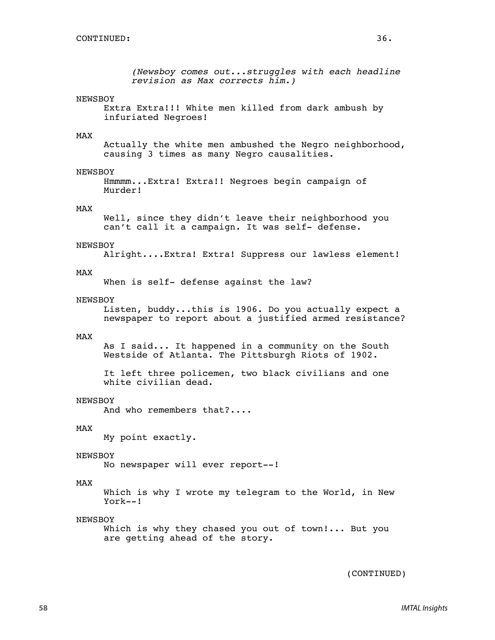```
(Newsboy comes out...struggles with each headline
revision as Max corrects him.)
```
#### NEWSBOY

```
Extra Extra!!! White men killed from dark ambush by
infuriated Negroes!
```
#### MAX

Actually the white men ambushed the Negro neighborhood, causing 3 times as many Negro causalities.

#### NEWSBOY

Hmmmm...Extra! Extra!! Negroes begin campaign of Murder!

#### MAX

Well, since they didn't leave their neighborhood you can't call it a campaign. It was self- defense.

#### NEWSBOY

Alright....Extra! Extra! Suppress our lawless element!

#### MAX

When is self- defense against the law?

#### NEWSBOY

Listen, buddy...this is 1906. Do you actually expect a newspaper to report about a justified armed resistance?

#### MAX

As I said... It happened in a community on the South Westside of Atlanta. The Pittsburgh Riots of 1902.

```
It left three policemen, two black civilians and one
white civilian dead.
```
#### NEWSBOY

And who remembers that?....

#### MAX

My point exactly.

#### NEWSBOY

No newspaper will ever report--!

#### MAX

Which is why I wrote my telegram to the World, in New York--!

#### NEWSBOY

Which is why they chased you out of town!... But you are getting ahead of the story.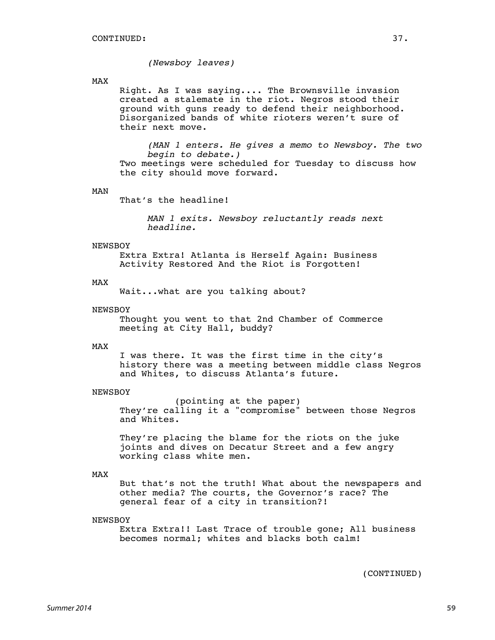*(Newsboy leaves)*

#### MAX

Right. As I was saying.... The Brownsville invasion created a stalemate in the riot. Negros stood their ground with guns ready to defend their neighborhood. Disorganized bands of white rioters weren't sure of their next move.

*(MAN 1 enters. He gives a memo to Newsboy. The two begin to debate.)* Two meetings were scheduled for Tuesday to discuss how the city should move forward.

#### MAN

That's the headline!

*MAN 1 exits. Newsboy reluctantly reads next headline.*

#### NEWSBOY

Extra Extra! Atlanta is Herself Again: Business Activity Restored And the Riot is Forgotten!

#### MAX

Wait...what are you talking about?

#### **NEWSBOY**

Thought you went to that 2nd Chamber of Commerce meeting at City Hall, buddy?

#### MAX

I was there. It was the first time in the city's history there was a meeting between middle class Negros and Whites, to discuss Atlanta's future.

#### NEWSBOY

(pointing at the paper) They're calling it a "compromise" between those Negros and Whites.

They're placing the blame for the riots on the juke joints and dives on Decatur Street and a few angry working class white men.

#### MAX

But that's not the truth! What about the newspapers and other media? The courts, the Governor's race? The general fear of a city in transition?!

#### NEWSBOY

Extra Extra!! Last Trace of trouble gone; All business becomes normal; whites and blacks both calm!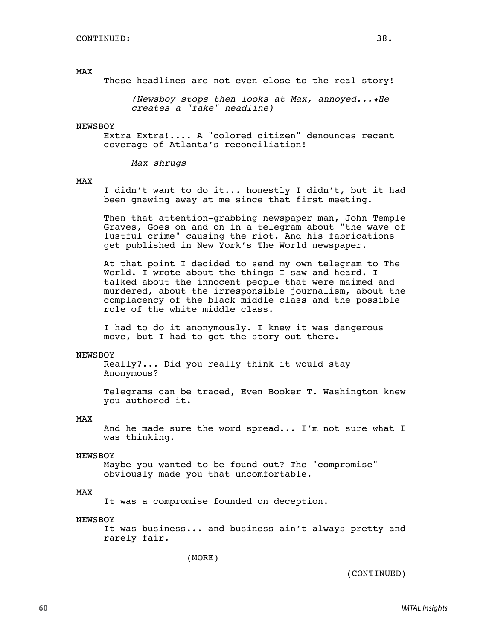#### MAX

These headlines are not even close to the real story!

*(Newsboy stops then looks at Max, annoyed...\*He creates a "fake" headline)*

#### **NEWSBOY**

Extra Extra!.... A "colored citizen" denounces recent coverage of Atlanta's reconciliation!

*Max shrugs*

#### MAX

I didn't want to do it... honestly I didn't, but it had been gnawing away at me since that first meeting.

Then that attention-grabbing newspaper man, John Temple Graves, Goes on and on in a telegram about "the wave of lustful crime" causing the riot. And his fabrications get published in New York's The World newspaper.

At that point I decided to send my own telegram to The World. I wrote about the things I saw and heard. I talked about the innocent people that were maimed and murdered, about the irresponsible journalism, about the complacency of the black middle class and the possible role of the white middle class.

I had to do it anonymously. I knew it was dangerous move, but I had to get the story out there.

#### NEWSBOY

Really?... Did you really think it would stay Anonymous?

Telegrams can be traced, Even Booker T. Washington knew you authored it.

#### MAX

And he made sure the word spread... I'm not sure what I was thinking.

#### NEWSBOY

Maybe you wanted to be found out? The "compromise" obviously made you that uncomfortable.

#### MAX

It was a compromise founded on deception.

#### NEWSBOY

It was business... and business ain't always pretty and rarely fair.

(MORE)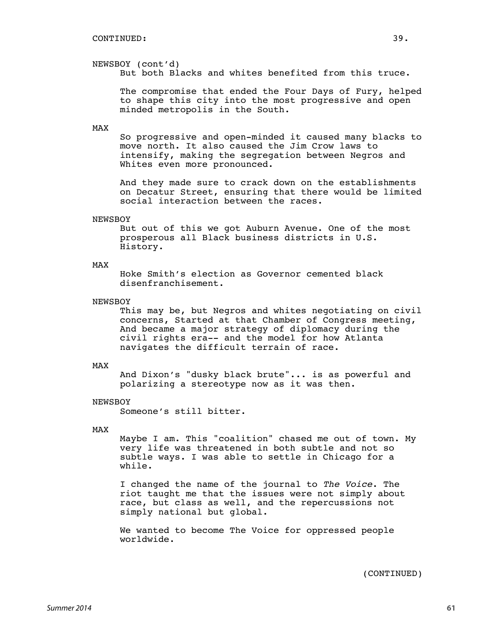NEWSBOY (cont'd)

But both Blacks and whites benefited from this truce.

The compromise that ended the Four Days of Fury, helped to shape this city into the most progressive and open minded metropolis in the South.

#### MAX

So progressive and open-minded it caused many blacks to move north. It also caused the Jim Crow laws to intensify, making the segregation between Negros and Whites even more pronounced.

And they made sure to crack down on the establishments on Decatur Street, ensuring that there would be limited social interaction between the races.

#### NEWSBOY

But out of this we got Auburn Avenue. One of the most prosperous all Black business districts in U.S. History.

#### MAX

Hoke Smith's election as Governor cemented black disenfranchisement.

#### **NEWSBOY**

This may be, but Negros and whites negotiating on civil concerns, Started at that Chamber of Congress meeting, And became a major strategy of diplomacy during the civil rights era-- and the model for how Atlanta navigates the difficult terrain of race.

#### MAX

And Dixon's "dusky black brute"... is as powerful and polarizing a stereotype now as it was then.

#### **NEWSBOY**

Someone's still bitter.

#### MAX

Maybe I am. This "coalition" chased me out of town. My very life was threatened in both subtle and not so subtle ways. I was able to settle in Chicago for a while.

I changed the name of the journal to *The Voice*. The riot taught me that the issues were not simply about race, but class as well, and the repercussions not simply national but global.

We wanted to become The Voice for oppressed people worldwide.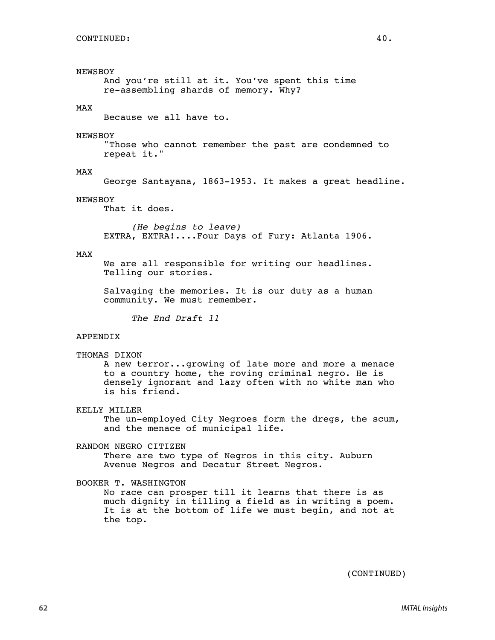## NEWSBOY

And you're still at it. You've spent this time re-assembling shards of memory. Why?

#### MAX

Because we all have to.

#### NEWSBOY

"Those who cannot remember the past are condemned to repeat it."

#### MAX

George Santayana, 1863-1953. It makes a great headline.

#### NEWSBOY

That it does.

*(He begins to leave)* EXTRA, EXTRA!....Four Days of Fury: Atlanta 1906.

#### MAX

We are all responsible for writing our headlines. Telling our stories.

Salvaging the memories. It is our duty as a human community. We must remember.

*The End Draft 11*

#### APPENDIX

```
THOMAS DIXON
```
A new terror...growing of late more and more a menace to a country home, the roving criminal negro. He is densely ignorant and lazy often with no white man who is his friend.

#### KELLY MILLER

The un-employed City Negroes form the dregs, the scum, and the menace of municipal life.

#### RANDOM NEGRO CITIZEN

There are two type of Negros in this city. Auburn Avenue Negros and Decatur Street Negros.

#### BOOKER T. WASHINGTON

No race can prosper till it learns that there is as much dignity in tilling a field as in writing a poem. It is at the bottom of life we must begin, and not at the top.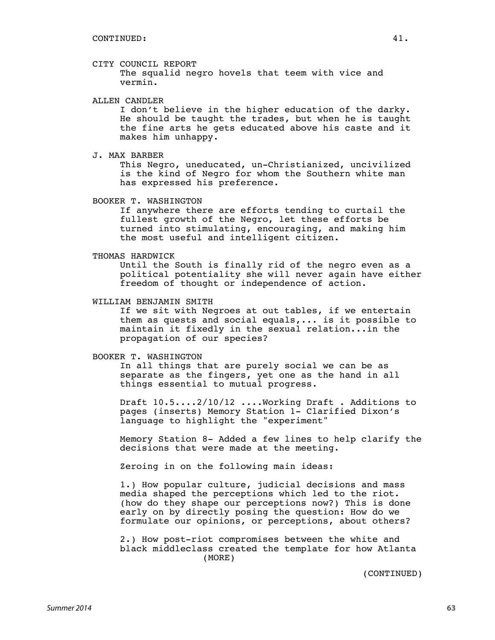#### CITY COUNCIL REPORT

The squalid negro hovels that teem with vice and vermin.

#### ALLEN CANDLER

I don't believe in the higher education of the darky. He should be taught the trades, but when he is taught the fine arts he gets educated above his caste and it makes him unhappy.

J. MAX BARBER

This Negro, uneducated, un-Christianized, uncivilized is the kind of Negro for whom the Southern white man has expressed his preference.

BOOKER T. WASHINGTON

If anywhere there are efforts tending to curtail the fullest growth of the Negro, let these efforts be turned into stimulating, encouraging, and making him the most useful and intelligent citizen.

#### THOMAS HARDWICK

Until the South is finally rid of the negro even as a political potentiality she will never again have either freedom of thought or independence of action.

#### WILLIAM BENJAMIN SMITH

If we sit with Negroes at out tables, if we entertain them as quests and social equals,... is it possible to maintain it fixedly in the sexual relation...in the propagation of our species?

#### BOOKER T. WASHINGTON

In all things that are purely social we can be as separate as the fingers, yet one as the hand in all things essential to mutual progress.

Draft 10.5....2/10/12 ....Working Draft . Additions to pages (inserts) Memory Station 1- Clarified Dixon's language to highlight the "experiment"

Memory Station 8- Added a few lines to help clarify the decisions that were made at the meeting.

Zeroing in on the following main ideas:

1.) How popular culture, judicial decisions and mass media shaped the perceptions which led to the riot. (how do they shape our perceptions now?) This is done early on by directly posing the question: How do we formulate our opinions, or perceptions, about others?

2.) How post-riot compromises between the white and black middleclass created the template for how Atlanta (MORE)